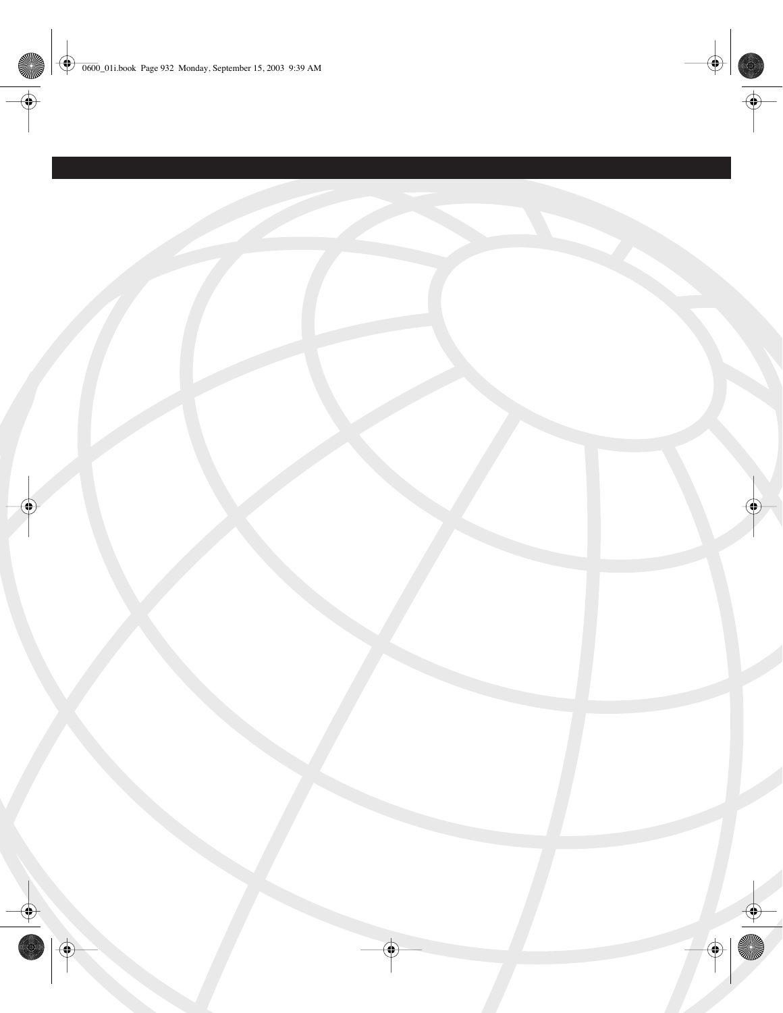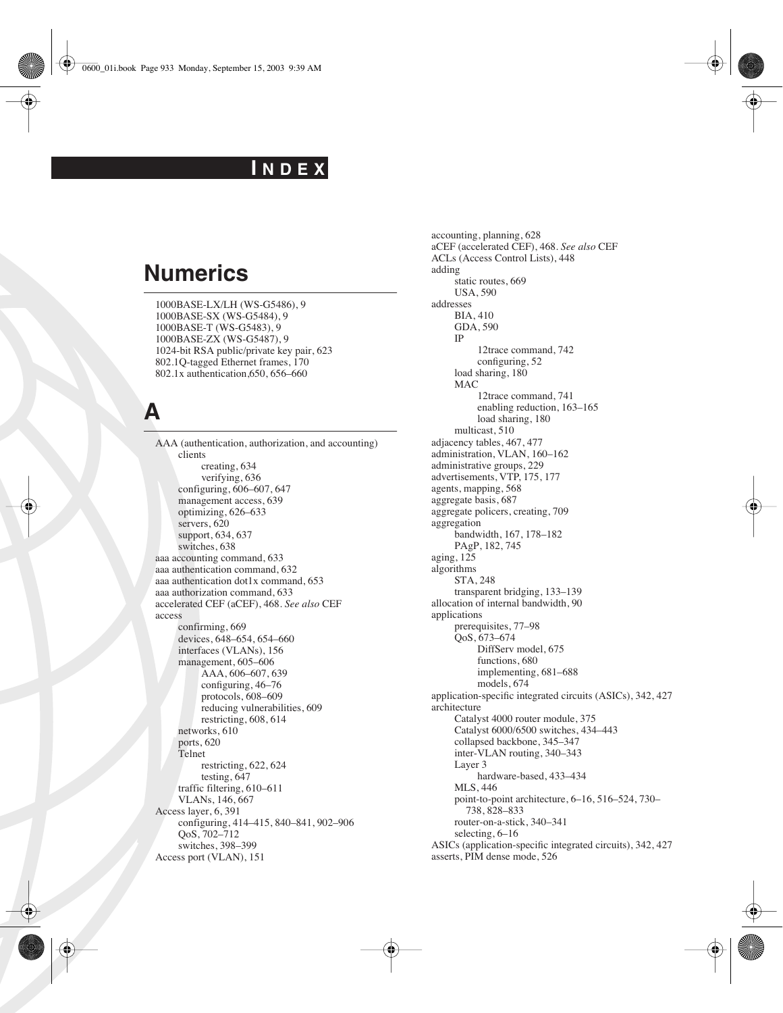#### **I N D E X**

### **Numerics**

1000BASE-LX/LH (WS-G5486), 9 1000BASE-SX (WS-G5484), 9 1000BASE-T (WS-G5483), 9 1000BASE-ZX (WS-G5487), 9 1024-bit RSA public/private key pair, 623 802.1Q-tagged Ethernet frames, 170 802.1x authentication,650, 656–660

# **A**

AAA (authentication, authorization, and accounting) clients creating, 634 verifying, 636 configuring, 606–607, 647 management access, 639 optimizing, 626–633 servers, 620 support, 634, 637 switches, 638 aaa accounting command, 633 aaa authentication command, 632 aaa authentication dot1x command, 653 aaa authorization command, 633 accelerated CEF (aCEF), 468. *See also* CEF access confirming, 669 devices, 648–654, 654–660 interfaces (VLANs), 156 management, 605–606 AAA, 606–607, 639 configuring, 46–76 protocols, 608–609 reducing vulnerabilities, 609 restricting, 608, 614 networks, 610 ports, 620 Telnet restricting, 622, 624 testing, 647 traffic filtering, 610–611 VLANs, 146, 667 Access layer, 6, 391 configuring, 414–415, 840–841, 902–906 QoS, 702–712 switches, 398–399 Access port (VLAN), 151

accounting, planning, 628 aCEF (accelerated CEF), 468. *See also* CEF ACLs (Access Control Lists), 448 adding static routes, 669 USA, 590 addresses BIA, 410 GDA, 590 IP 12trace command, 742 configuring, 52 load sharing, 180 MAC 12trace command, 741 enabling reduction, 163–165 load sharing, 180 multicast, 510 adjacency tables, 467, 477 administration, VLAN, 160–162 administrative groups, 229 advertisements, VTP, 175, 177 agents, mapping, 568 aggregate basis, 687 aggregate policers, creating, 709 aggregation bandwidth, 167, 178–182 PAgP, 182, 745 aging, 125 algorithms STA, 248 transparent bridging, 133–139 allocation of internal bandwidth, 90 applications prerequisites, 77–98 QoS, 673–674 DiffServ model, 675 functions, 680 implementing, 681–688 models, 674 application-specific integrated circuits (ASICs), 342, 427 architecture Catalyst 4000 router module, 375 Catalyst 6000/6500 switches, 434–443 collapsed backbone, 345–347 inter-VLAN routing, 340–343 Layer 3 hardware-based, 433–434 MLS, 446 point-to-point architecture, 6–16, 516–524, 730– 738, 828–833 router-on-a-stick, 340–341 selecting, 6–16 ASICs (application-specific integrated circuits), 342, 427 asserts, PIM dense mode, 526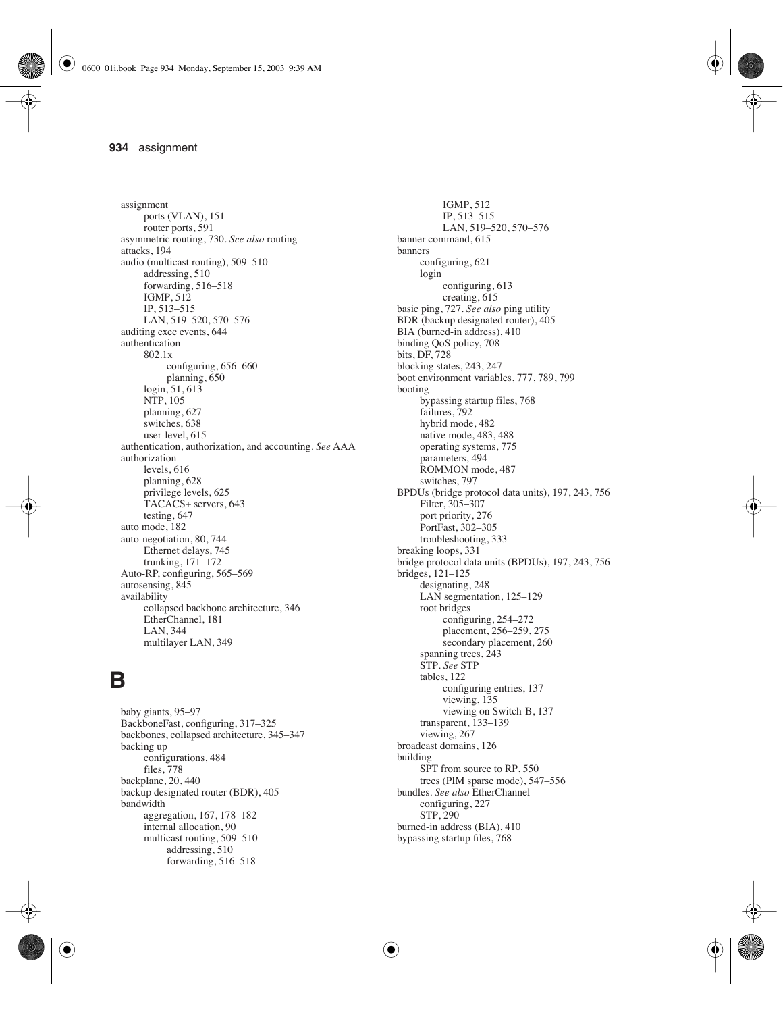assignment ports (VLAN), 151 router ports, 591 asymmetric routing, 730. *See also* routing attacks, 194 audio (multicast routing), 509–510 addressing, 510 forwarding, 516–518 IGMP, 512 IP, 513–515 LAN, 519–520, 570–576 auditing exec events, 644 authentication 802.1x configuring, 656–660 planning, 650 login, 51, 613 NTP, 105 planning, 627 switches, 638 user-level, 615 authentication, authorization, and accounting. *See* AAA authorization levels, 616 planning, 628 privilege levels, 625 TACACS+ servers, 643 testing, 647 auto mode, 182 auto-negotiation, 80, 744 Ethernet delays, 745 trunking, 171–172 Auto-RP, configuring, 565–569 autosensing, 845 availability collapsed backbone architecture, 346 EtherChannel, 181 LAN, 344 multilayer LAN, 349

### **B**

baby giants, 95–97 BackboneFast, configuring, 317–325 backbones, collapsed architecture, 345–347 backing up configurations, 484 files, 778 backplane, 20, 440 backup designated router (BDR), 405 bandwidth aggregation, 167, 178–182 internal allocation, 90 multicast routing, 509–510 addressing, 510 forwarding, 516–518

IGMP, 512 IP, 513–515 LAN, 519–520, 570–576 banner command, 615 banners configuring, 621 login configuring, 613 creating, 615 basic ping, 727. *See also* ping utility BDR (backup designated router), 405 BIA (burned-in address), 410 binding QoS policy, 708 bits, DF, 728 blocking states, 243, 247 boot environment variables, 777, 789, 799 booting bypassing startup files, 768 failures, 792 hybrid mode, 482 native mode, 483, 488 operating systems, 775 parameters, 494 ROMMON mode, 487 switches, 797 BPDUs (bridge protocol data units), 197, 243, 756 Filter, 305–307 port priority, 276 PortFast, 302–305 troubleshooting, 333 breaking loops, 331 bridge protocol data units (BPDUs), 197, 243, 756 bridges, 121–125 designating, 248 LAN segmentation, 125–129 root bridges configuring, 254–272 placement, 256–259, 275 secondary placement, 260 spanning trees, 243 STP. *See* STP tables, 122 configuring entries, 137 viewing, 135 viewing on Switch-B, 137 transparent, 133–139 viewing, 267 broadcast domains, 126 building SPT from source to RP, 550 trees (PIM sparse mode), 547–556 bundles. *See also* EtherChannel configuring, 227 STP, 290 burned-in address (BIA), 410 bypassing startup files, 768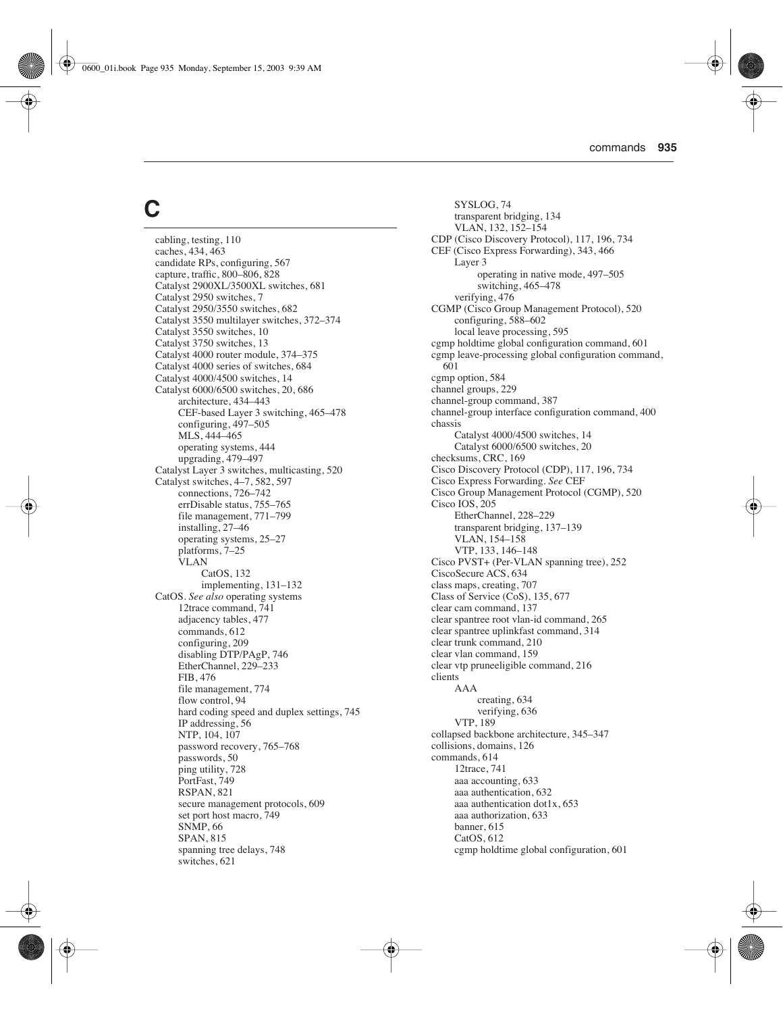# **C**

cabling, testing, 110 caches, 434, 463 candidate RPs, configuring, 567 capture, traffic, 800–806, 828 Catalyst 2900XL/3500XL switches, 681 Catalyst 2950 switches, 7 Catalyst 2950/3550 switches, 682 Catalyst 3550 multilayer switches, 372–374 Catalyst 3550 switches, 10 Catalyst 3750 switches, 13 Catalyst 4000 router module, 374–375 Catalyst 4000 series of switches, 684 Catalyst 4000/4500 switches, 14 Catalyst 6000/6500 switches, 20, 686 architecture, 434–443 CEF-based Layer 3 switching, 465–478 configuring, 497–505 MLS, 444–465 operating systems, 444 upgrading, 479–497 Catalyst Layer 3 switches, multicasting, 520 Catalyst switches, 4–7, 582, 597 connections, 726–742 errDisable status, 755–765 file management, 771–799 installing, 27–46 operating systems, 25–27 platforms, 7–25 VLAN CatOS, 132 implementing, 131–132 CatOS. *See also* operating systems 12trace command, 741 adjacency tables, 477 commands, 612 configuring, 209 disabling DTP/PAgP, 746 EtherChannel, 229–233 FIB, 476 file management, 774 flow control, 94 hard coding speed and duplex settings, 745 IP addressing, 56 NTP, 104, 107 password recovery, 765–768 passwords, 50 ping utility, 728 PortFast, 749 RSPAN, 821 secure management protocols, 609 set port host macro, 749 SNMP, 66 SPAN, 815 spanning tree delays, 748 switches, 621

SYSLOG, 74 transparent bridging, 134 VLAN, 132, 152–154 CDP (Cisco Discovery Protocol), 117, 196, 734 CEF (Cisco Express Forwarding), 343, 466 Layer 3 operating in native mode, 497–505 switching, 465–478 verifying, 476 CGMP (Cisco Group Management Protocol), 520 configuring, 588–602 local leave processing, 595 cgmp holdtime global configuration command, 601 cgmp leave-processing global configuration command, 601 cgmp option, 584 channel groups, 229 channel-group command, 387 channel-group interface configuration command, 400 chassis Catalyst 4000/4500 switches, 14 Catalyst 6000/6500 switches, 20 checksums, CRC, 169 Cisco Discovery Protocol (CDP), 117, 196, 734 Cisco Express Forwarding. *See* CEF Cisco Group Management Protocol (CGMP), 520 Cisco IOS, 205 EtherChannel, 228–229 transparent bridging, 137–139 VLAN, 154–158 VTP, 133, 146–148 Cisco PVST+ (Per-VLAN spanning tree), 252 CiscoSecure ACS, 634 class maps, creating, 707 Class of Service (CoS), 135, 677 clear cam command, 137 clear spantree root vlan-id command, 265 clear spantree uplinkfast command, 314 clear trunk command, 210 clear vlan command, 159 clear vtp pruneeligible command, 216 clients AAA creating, 634 verifying, 636 VTP, 189 collapsed backbone architecture, 345–347 collisions, domains, 126 commands, 614 12trace, 741 aaa accounting, 633 aaa authentication, 632 aaa authentication dot1x, 653 aaa authorization, 633 banner, 615 CatOS, 612 cgmp holdtime global configuration, 601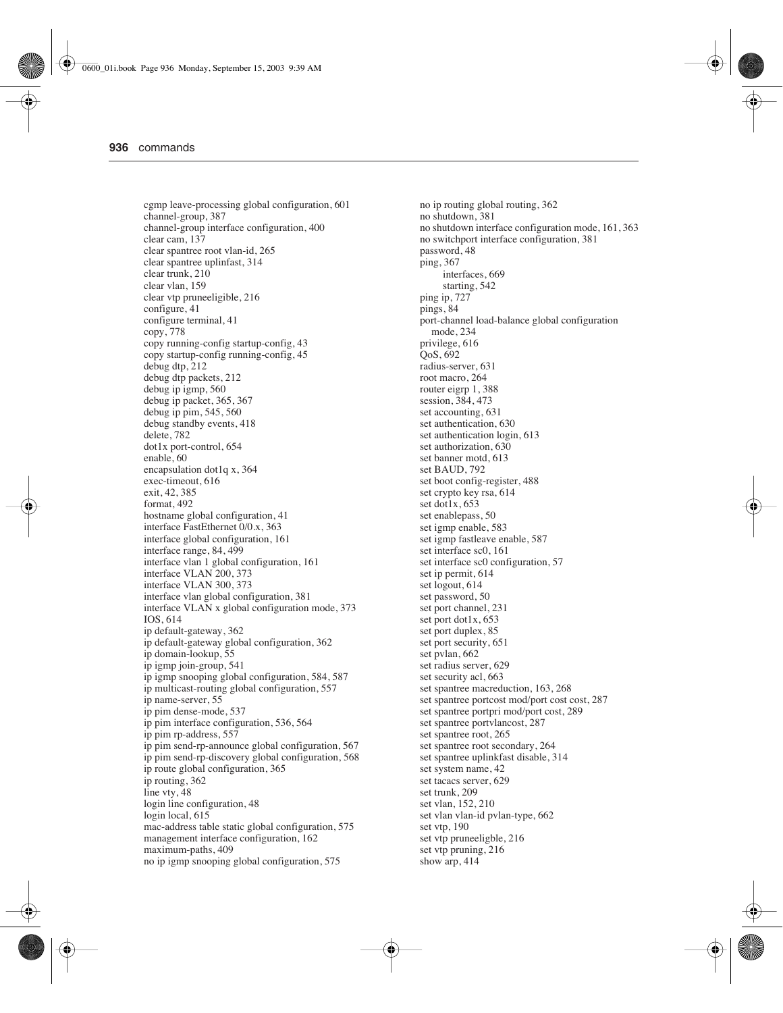cgmp leave-processing global configuration, 601 channel-group, 387 channel-group interface configuration, 400 clear cam, 137 clear spantree root vlan-id, 265 clear spantree uplinfast, 314 clear trunk, 210 clear vlan, 159 clear vtp pruneeligible, 216 configure, 41 configure terminal, 41 copy, 778 copy running-config startup-config, 43 copy startup-config running-config, 45 debug dtp, 212 debug dtp packets, 212 debug ip igmp, 560 debug ip packet, 365, 367 debug ip pim, 545, 560 debug standby events, 418 delete, 782 dot1x port-control, 654 enable, 60 encapsulation dot1q x, 364 exec-timeout, 616 exit, 42, 385 format, 492 hostname global configuration, 41 interface FastEthernet 0/0.x, 363 interface global configuration, 161 interface range, 84, 499 interface vlan 1 global configuration, 161 interface VLAN 200, 373 interface VLAN 300, 373 interface vlan global configuration, 381 interface VLAN x global configuration mode, 373 IOS, 614 ip default-gateway, 362 ip default-gateway global configuration, 362 ip domain-lookup, 55 ip igmp join-group, 541 ip igmp snooping global configuration, 584, 587 ip multicast-routing global configuration, 557 ip name-server, 55 ip pim dense-mode, 537 ip pim interface configuration, 536, 564 ip pim rp-address, 557 ip pim send-rp-announce global configuration, 567 ip pim send-rp-discovery global configuration, 568 ip route global configuration, 365 ip routing, 362 line vty, 48 login line configuration, 48 login local, 615 mac-address table static global configuration, 575 management interface configuration, 162 maximum-paths, 409 no ip igmp snooping global configuration, 575

no ip routing global routing, 362 no shutdown, 381 no shutdown interface configuration mode, 161, 363 no switchport interface configuration, 381 password, 48 ping, 367 interfaces, 669 starting, 542 ping ip, 727 pings, 84 port-channel load-balance global configuration mode, 234 privilege, 616 QoS, 692 radius-server, 631 root macro, 264 router eigrp 1, 388 session, 384, 473 set accounting, 631 set authentication, 630 set authentication login, 613 set authorization, 630 set banner motd, 613 set BAUD, 792 set boot config-register, 488 set crypto key rsa, 614 set dot1x, 653 set enablepass, 50 set igmp enable, 583 set igmp fastleave enable, 587 set interface sc0, 161 set interface sc0 configuration, 57 set ip permit, 614 set logout, 614 set password, 50 set port channel, 231 set port dot1x, 653 set port duplex, 85 set port security, 651 set pvlan, 662 set radius server, 629 set security acl, 663 set spantree macreduction, 163, 268 set spantree portcost mod/port cost cost, 287 set spantree portpri mod/port cost, 289 set spantree portvlancost, 287 set spantree root, 265 set spantree root secondary, 264 set spantree uplinkfast disable, 314 set system name, 42 set tacacs server, 629 set trunk, 209 set vlan, 152, 210 set vlan vlan-id pvlan-type, 662 set vtp, 190 set vtp pruneeligble, 216 set vtp pruning, 216 show arp, 414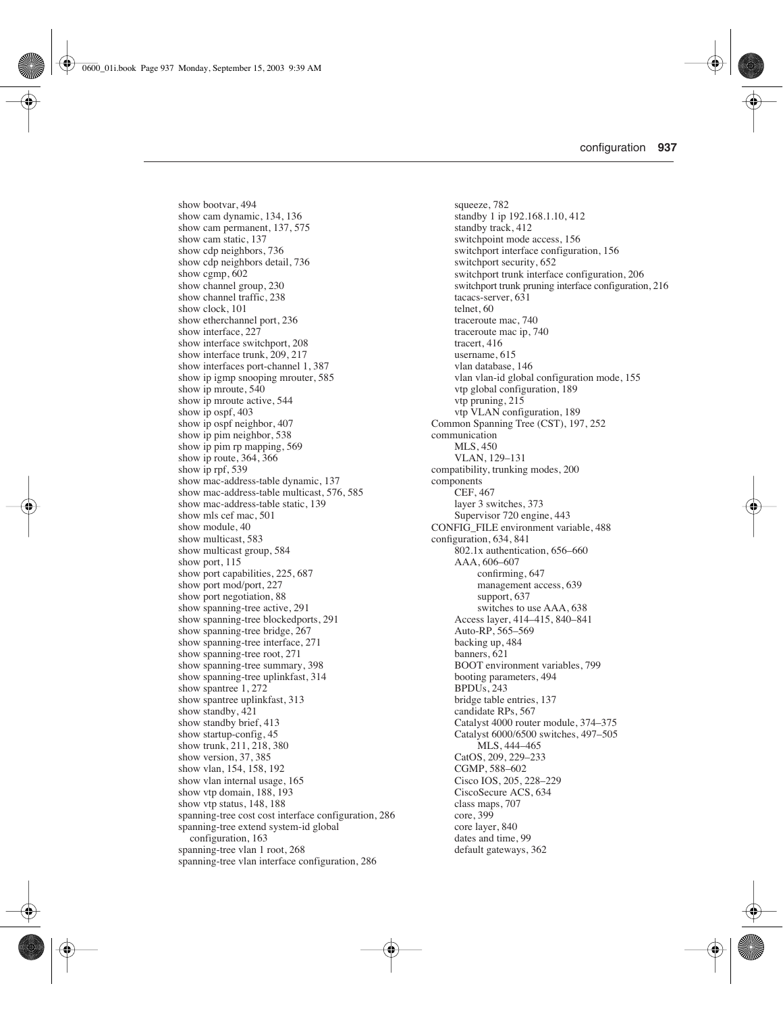show bootvar, 494 show cam dynamic, 134, 136 show cam permanent, 137, 575 show cam static, 137 show cdp neighbors, 736 show cdp neighbors detail, 736 show cgmp, 602 show channel group, 230 show channel traffic, 238 show clock, 101 show etherchannel port, 236 show interface, 227 show interface switchport, 208 show interface trunk, 209, 217 show interfaces port-channel 1, 387 show ip igmp snooping mrouter, 585 show ip mroute, 540 show ip mroute active, 544 show ip ospf, 403 show ip ospf neighbor, 407 show ip pim neighbor, 538 show ip pim rp mapping, 569 show ip route, 364, 366 show ip rpf, 539 show mac-address-table dynamic, 137 show mac-address-table multicast, 576, 585 show mac-address-table static, 139 show mls cef mac, 501 show module, 40 show multicast, 583 show multicast group, 584 show port, 115 show port capabilities, 225, 687 show port mod/port, 227 show port negotiation, 88 show spanning-tree active, 291 show spanning-tree blockedports, 291 show spanning-tree bridge, 267 show spanning-tree interface, 271 show spanning-tree root, 271 show spanning-tree summary, 398 show spanning-tree uplinkfast, 314 show spantree 1, 272 show spantree uplinkfast, 313 show standby, 421 show standby brief, 413 show startup-config, 45 show trunk, 211, 218, 380 show version, 37, 385 show vlan, 154, 158, 192 show vlan internal usage, 165 show vtp domain, 188, 193 show vtp status, 148, 188 spanning-tree cost cost interface configuration, 286 spanning-tree extend system-id global configuration, 163 spanning-tree vlan 1 root, 268 spanning-tree vlan interface configuration, 286

squeeze, 782 standby 1 ip 192.168.1.10, 412 standby track, 412 switchpoint mode access, 156 switchport interface configuration, 156 switchport security, 652 switchport trunk interface configuration, 206 switchport trunk pruning interface configuration, 216 tacacs-server, 631 telnet, 60 traceroute mac, 740 traceroute mac ip, 740 tracert, 416 username, 615 vlan database, 146 vlan vlan-id global configuration mode, 155 vtp global configuration, 189 vtp pruning, 215 vtp VLAN configuration, 189 Common Spanning Tree (CST), 197, 252 communication MLS, 450 VLAN, 129–131 compatibility, trunking modes, 200 components CEF, 467 layer 3 switches, 373 Supervisor 720 engine, 443 CONFIG\_FILE environment variable, 488 configuration, 634, 841 802.1x authentication, 656–660 AAA, 606–607 confirming, 647 management access, 639 support, 637 switches to use AAA, 638 Access layer, 414–415, 840–841 Auto-RP, 565–569 backing up, 484 banners, 621 BOOT environment variables, 799 booting parameters, 494 BPDUs, 243 bridge table entries, 137 candidate RPs, 567 Catalyst 4000 router module, 374–375 Catalyst 6000/6500 switches, 497–505 MLS, 444–465 CatOS, 209, 229–233 CGMP, 588–602 Cisco IOS, 205, 228–229 CiscoSecure ACS, 634 class maps, 707 core, 399 core layer, 840 dates and time, 99 default gateways, 362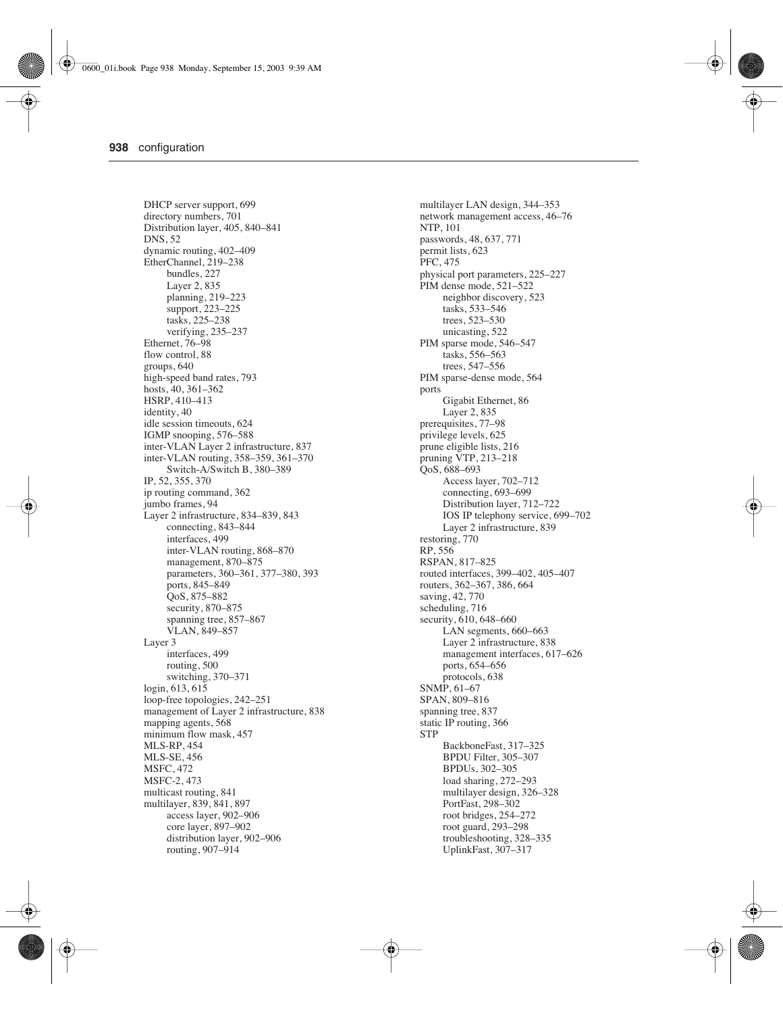DHCP server support, 699 directory numbers, 701 Distribution layer, 405, 840–841 DNS, 52 dynamic routing, 402–409 EtherChannel, 219–238 bundles, 227 Layer 2, 835 planning, 219–223 support, 223–225 tasks, 225–238 verifying, 235–237 Ethernet, 76–98 flow control, 88 groups, 640 high-speed band rates, 793 hosts, 40, 361–362 HSRP, 410–413 identity, 40 idle session timeouts, 624 IGMP snooping, 576–588 inter-VLAN Layer 2 infrastructure, 837 inter-VLAN routing, 358–359, 361–370 Switch-A/Switch B, 380–389 IP, 52, 355, 370 ip routing command, 362 jumbo frames, 94 Layer 2 infrastructure, 834–839, 843 connecting, 843–844 interfaces, 499 inter-VLAN routing, 868–870 management, 870–875 parameters, 360–361, 377–380, 393 ports, 845–849 QoS, 875–882 security, 870–875 spanning tree, 857–867 VLAN, 849–857 Layer 3 interfaces, 499 routing, 500 switching, 370–371 login, 613, 615 loop-free topologies, 242–251 management of Layer 2 infrastructure, 838 mapping agents, 568 minimum flow mask, 457 MLS-RP, 454 MLS-SE, 456 MSFC, 472 MSFC-2, 473 multicast routing, 841 multilayer, 839, 841, 897 access layer, 902–906 core layer, 897–902 distribution layer, 902–906 routing, 907–914

multilayer LAN design, 344–353 network management access, 46–76 NTP, 101 passwords, 48, 637, 771 permit lists, 623 PFC, 475 physical port parameters, 225–227 PIM dense mode, 521–522 neighbor discovery, 523 tasks, 533–546 trees, 523–530 unicasting, 522 PIM sparse mode, 546–547 tasks, 556–563 trees, 547–556 PIM sparse-dense mode, 564 ports Gigabit Ethernet, 86 Layer 2, 835 prerequisites, 77–98 privilege levels, 625 prune eligible lists, 216 pruning VTP, 213–218 QoS, 688–693 Access layer, 702–712 connecting, 693–699 Distribution layer, 712–722 IOS IP telephony service, 699–702 Layer 2 infrastructure, 839 restoring, 770 RP, 556 RSPAN, 817–825 routed interfaces, 399–402, 405–407 routers, 362–367, 386, 664 saving, 42, 770 scheduling, 716 security, 610, 648–660 LAN segments, 660–663 Layer 2 infrastructure, 838 management interfaces, 617–626 ports, 654–656 protocols, 638 SNMP, 61–67 SPAN, 809–816 spanning tree, 837 static IP routing, 366 **STP** BackboneFast, 317–325 BPDU Filter, 305–307 BPDUs, 302–305 load sharing, 272–293 multilayer design, 326–328 PortFast, 298–302 root bridges, 254–272 root guard, 293–298 troubleshooting, 328–335 UplinkFast, 307–317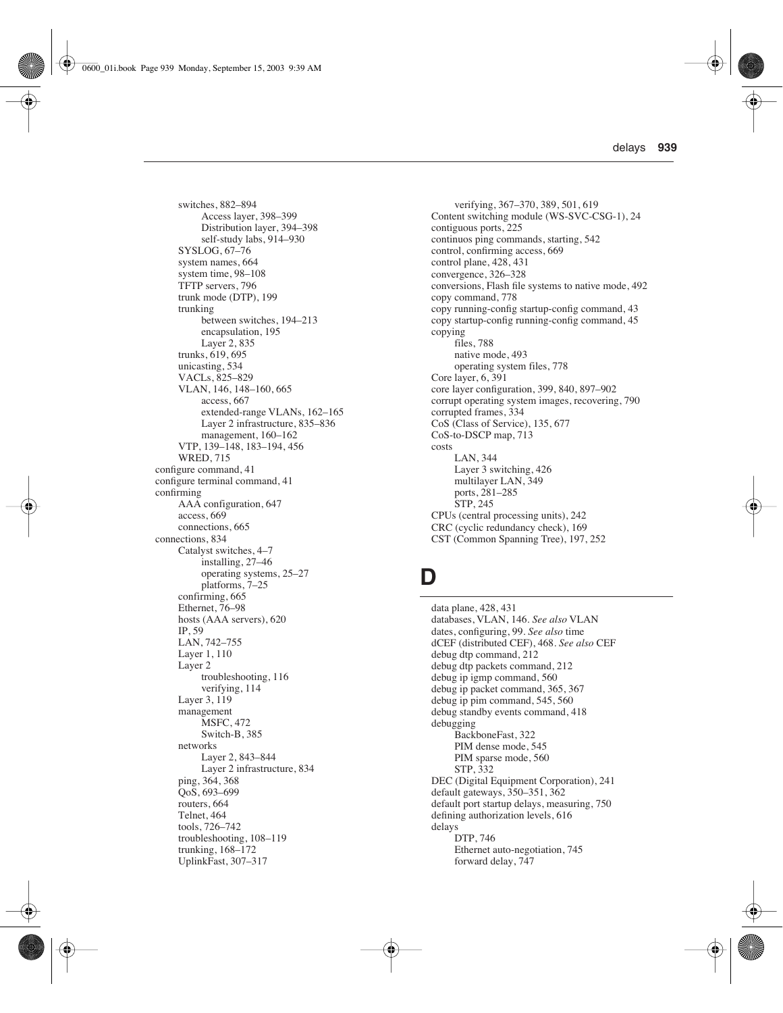switches, 882–894 Access layer, 398–399 Distribution layer, 394–398 self-study labs, 914–930 SYSLOG, 67–76 system names, 664 system time, 98–108 TFTP servers, 796 trunk mode (DTP), 199 trunking between switches, 194–213 encapsulation, 195 Layer 2, 835 trunks, 619, 695 unicasting, 534 VACLs, 825–829 VLAN, 146, 148–160, 665 access, 667 extended-range VLANs, 162–165 Layer 2 infrastructure, 835–836 management, 160–162 VTP, 139–148, 183–194, 456 WRED, 715 configure command, 41 configure terminal command, 41 confirming AAA configuration, 647 access, 669 connections, 665 connections, 834 Catalyst switches, 4–7 installing, 27–46 operating systems, 25–27 platforms, 7–25 confirming, 665 Ethernet, 76–98 hosts (AAA servers), 620 IP, 59 LAN, 742–755 Layer 1, 110 Layer 2 troubleshooting, 116 verifying, 114 Layer 3, 119 management MSFC, 472 Switch-B, 385 networks Layer 2, 843–844 Layer 2 infrastructure, 834 ping, 364, 368  $O<sub>0</sub>$ S, 693–699 routers, 664 Telnet, 464 tools, 726–742 troubleshooting, 108–119 trunking, 168–172 UplinkFast, 307–317

verifying, 367–370, 389, 501, 619 Content switching module (WS-SVC-CSG-1), 24 contiguous ports, 225 continuos ping commands, starting, 542 control, confirming access, 669 control plane, 428, 431 convergence, 326–328 conversions, Flash file systems to native mode, 492 copy command, 778 copy running-config startup-config command, 43 copy startup-config running-config command, 45 copying files, 788 native mode, 493 operating system files, 778 Core layer, 6, 391 core layer configuration, 399, 840, 897–902 corrupt operating system images, recovering, 790 corrupted frames, 334 CoS (Class of Service), 135, 677 CoS-to-DSCP map, 713 costs LAN, 344 Layer 3 switching, 426 multilayer LAN, 349 ports, 281–285 STP, 245 CPUs (central processing units), 242 CRC (cyclic redundancy check), 169 CST (Common Spanning Tree), 197, 252

### **D**

data plane, 428, 431 databases, VLAN, 146. *See also* VLAN dates, configuring, 99. *See also* time dCEF (distributed CEF), 468. *See also* CEF debug dtp command, 212 debug dtp packets command, 212 debug ip igmp command, 560 debug ip packet command, 365, 367 debug ip pim command, 545, 560 debug standby events command, 418 debugging BackboneFast, 322 PIM dense mode, 545 PIM sparse mode, 560 STP, 332 DEC (Digital Equipment Corporation), 241 default gateways, 350–351, 362 default port startup delays, measuring, 750 defining authorization levels, 616 delays DTP, 746 Ethernet auto-negotiation, 745 forward delay, 747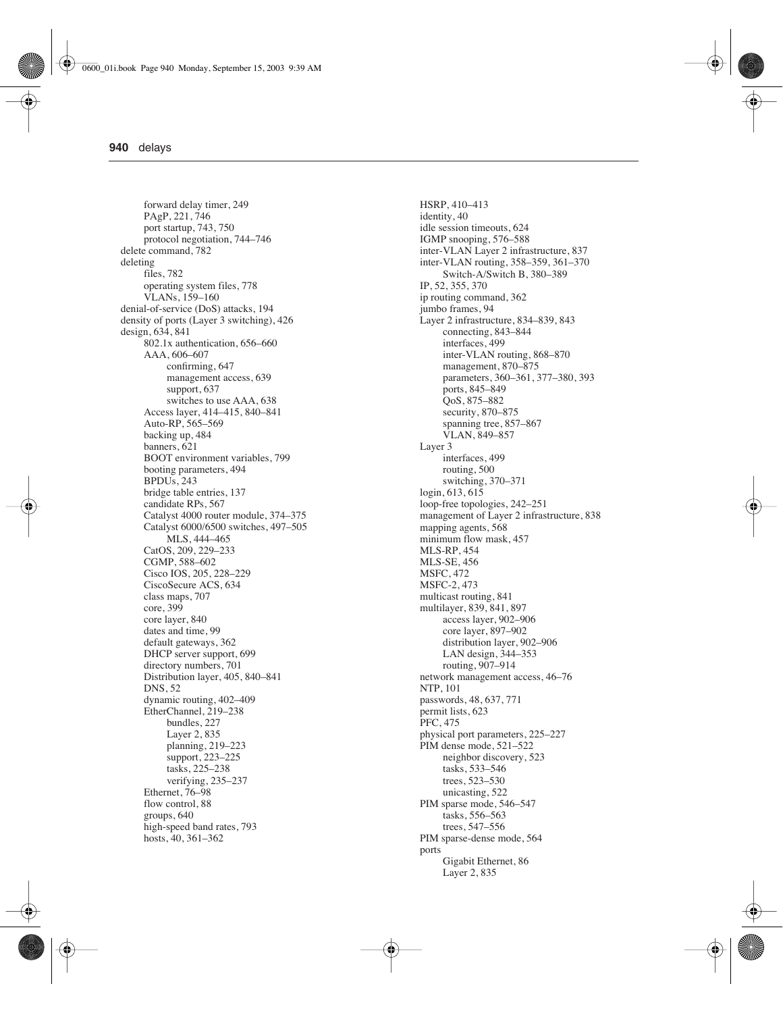forward delay timer, 249 PAgP, 221, 746 port startup, 743, 750 protocol negotiation, 744–746 delete command, 782 deleting files, 782 operating system files, 778 VLANs, 159–160 denial-of-service (DoS) attacks, 194 density of ports (Layer 3 switching), 426 design, 634, 841 802.1x authentication, 656–660 AAA, 606–607 confirming, 647 management access, 639 support, 637 switches to use AAA, 638 Access layer, 414–415, 840–841 Auto-RP, 565–569 backing up, 484 banners, 621 BOOT environment variables, 799 booting parameters, 494 BPDUs, 243 bridge table entries, 137 candidate RPs, 567 Catalyst 4000 router module, 374–375 Catalyst 6000/6500 switches, 497–505 MLS, 444–465 CatOS, 209, 229–233 CGMP, 588–602 Cisco IOS, 205, 228–229 CiscoSecure ACS, 634 class maps, 707 core, 399 core layer, 840 dates and time, 99 default gateways, 362 DHCP server support, 699 directory numbers, 701 Distribution layer, 405, 840–841 DNS, 52 dynamic routing, 402–409 EtherChannel, 219–238 bundles, 227 Layer 2, 835 planning, 219–223 support, 223–225 tasks, 225–238 verifying, 235–237 Ethernet, 76–98 flow control, 88 groups, 640 high-speed band rates, 793 hosts, 40, 361–362

HSRP, 410–413 identity, 40 idle session timeouts, 624 IGMP snooping, 576–588 inter-VLAN Layer 2 infrastructure, 837 inter-VLAN routing, 358–359, 361–370 Switch-A/Switch B, 380–389 IP, 52, 355, 370 ip routing command, 362 jumbo frames, 94 Layer 2 infrastructure, 834–839, 843 connecting, 843–844 interfaces, 499 inter-VLAN routing, 868–870 management, 870–875 parameters, 360–361, 377–380, 393 ports, 845–849 QoS, 875–882 security, 870-875 spanning tree, 857–867 VLAN, 849–857 Layer 3 interfaces, 499 routing, 500 switching, 370–371 login, 613, 615 loop-free topologies, 242–251 management of Layer 2 infrastructure, 838 mapping agents, 568 minimum flow mask, 457 MLS-RP, 454 MLS-SE, 456 MSFC, 472 MSFC-2, 473 multicast routing, 841 multilayer, 839, 841, 897 access layer, 902–906 core layer, 897–902 distribution layer, 902–906 LAN design, 344–353 routing, 907–914 network management access, 46–76 NTP, 101 passwords, 48, 637, 771 permit lists, 623 PFC, 475 physical port parameters, 225–227 PIM dense mode, 521–522 neighbor discovery, 523 tasks, 533–546 trees, 523–530 unicasting, 522 PIM sparse mode, 546–547 tasks, 556–563 trees, 547–556 PIM sparse-dense mode, 564 ports Gigabit Ethernet, 86 Layer 2, 835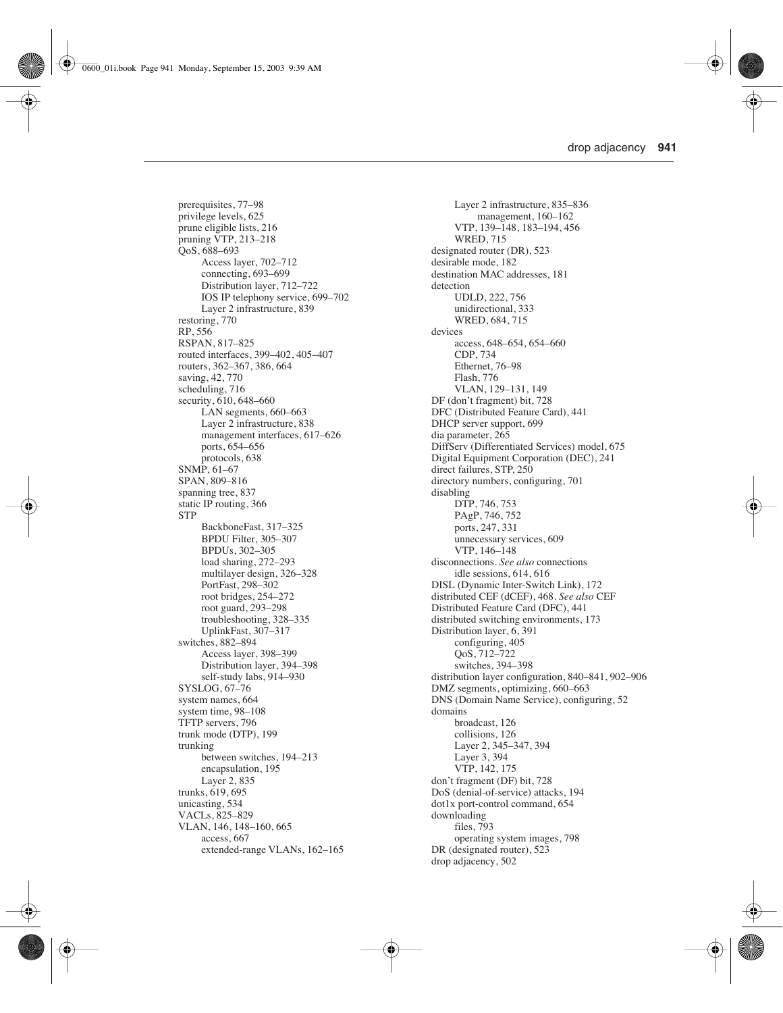prerequisites, 77–98 privilege levels, 625 prune eligible lists, 216 pruning VTP, 213–218 QoS, 688–693 Access layer, 702–712 connecting, 693–699 Distribution layer, 712–722 IOS IP telephony service, 699–702 Layer 2 infrastructure, 839 restoring, 770 RP, 556 RSPAN, 817–825 routed interfaces, 399–402, 405–407 routers, 362–367, 386, 664 saving, 42, 770 scheduling, 716 security, 610, 648–660 LAN segments, 660–663 Layer 2 infrastructure, 838 management interfaces, 617–626 ports, 654–656 protocols, 638 SNMP, 61–67 SPAN, 809–816 spanning tree, 837 static IP routing, 366 STP BackboneFast, 317–325 BPDU Filter, 305–307 BPDUs, 302–305 load sharing, 272–293 multilayer design, 326–328 PortFast, 298–302 root bridges, 254–272 root guard, 293–298 troubleshooting, 328–335 UplinkFast, 307–317 switches, 882–894 Access layer, 398–399 Distribution layer, 394–398 self-study labs, 914–930 SYSLOG, 67–76 system names, 664 system time, 98–108 TFTP servers, 796 trunk mode (DTP), 199 trunking between switches, 194–213 encapsulation, 195 Layer 2, 835 trunks, 619, 695 unicasting, 534 VACLs, 825–829 VLAN, 146, 148–160, 665 access, 667 extended-range VLANs, 162–165

Layer 2 infrastructure, 835–836 management, 160–162 VTP, 139–148, 183–194, 456 WRED, 715 designated router (DR), 523 desirable mode, 182 destination MAC addresses, 181 detection UDLD, 222, 756 unidirectional, 333 WRED, 684, 715 devices access, 648–654, 654–660 CDP, 734 Ethernet, 76–98 Flash, 776 VLAN, 129–131, 149 DF (don't fragment) bit, 728 DFC (Distributed Feature Card), 441 DHCP server support, 699 dia parameter, 265 DiffServ (Differentiated Services) model, 675 Digital Equipment Corporation (DEC), 241 direct failures, STP, 250 directory numbers, configuring, 701 disabling DTP, 746, 753 PAgP, 746, 752 ports, 247, 331 unnecessary services, 609 VTP, 146–148 disconnections. *See also* connections idle sessions, 614, 616 DISL (Dynamic Inter-Switch Link), 172 distributed CEF (dCEF), 468. *See also* CEF Distributed Feature Card (DFC), 441 distributed switching environments, 173 Distribution layer, 6, 391 configuring, 405 QoS, 712–722 switches, 394–398 distribution layer configuration, 840–841, 902–906 DMZ segments, optimizing, 660–663 DNS (Domain Name Service), configuring, 52 domains broadcast, 126 collisions, 126 Layer 2, 345–347, 394 Layer 3, 394 VTP, 142, 175 don't fragment (DF) bit, 728 DoS (denial-of-service) attacks, 194 dot1x port-control command, 654 downloading files, 793 operating system images, 798 DR (designated router), 523 drop adjacency, 502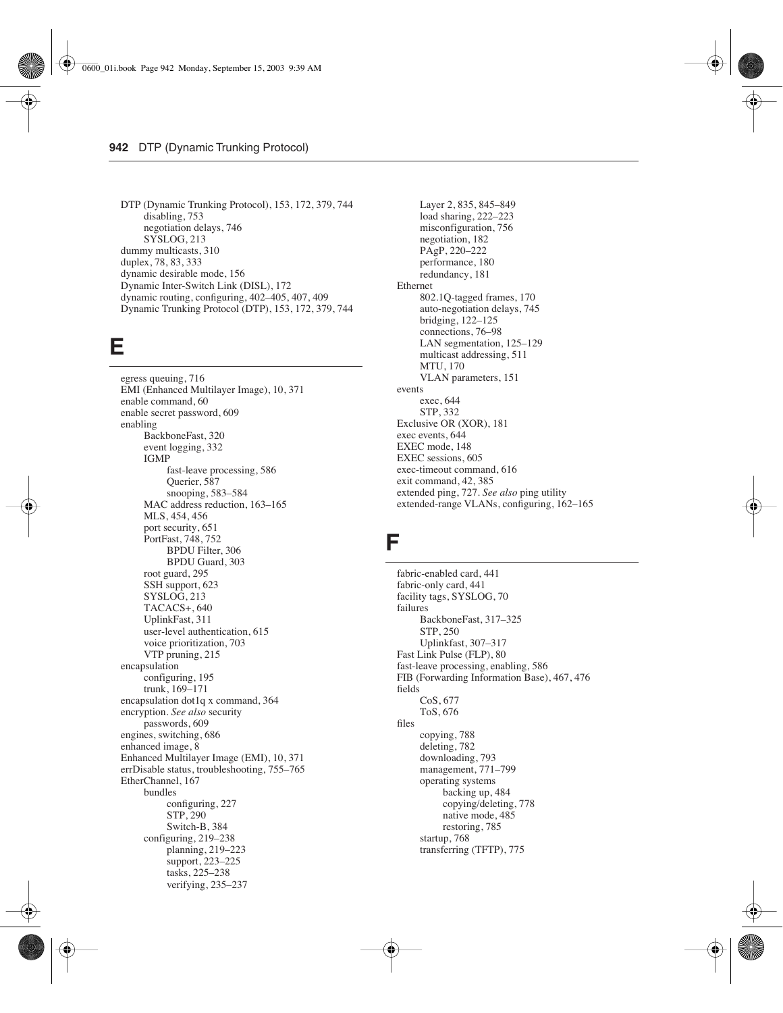DTP (Dynamic Trunking Protocol), 153, 172, 379, 744 disabling, 753 negotiation delays, 746 SYSLOG, 213 dummy multicasts, 310 duplex, 78, 83, 333 dynamic desirable mode, 156 Dynamic Inter-Switch Link (DISL), 172 dynamic routing, configuring, 402–405, 407, 409 Dynamic Trunking Protocol (DTP), 153, 172, 379, 744

# **E**

egress queuing, 716 EMI (Enhanced Multilayer Image), 10, 371 enable command, 60 enable secret password, 609 enabling BackboneFast, 320 event logging, 332 IGMP fast-leave processing, 586 Querier, 587 snooping, 583–584 MAC address reduction, 163–165 MLS, 454, 456 port security, 651 PortFast, 748, 752 BPDU Filter, 306 BPDU Guard, 303 root guard, 295 SSH support, 623 SYSLOG, 213 TACACS+, 640 UplinkFast, 311 user-level authentication, 615 voice prioritization, 703 VTP pruning, 215 encapsulation configuring, 195 trunk, 169–171 encapsulation dot1q x command, 364 encryption. *See also* security passwords, 609 engines, switching, 686 enhanced image, 8 Enhanced Multilayer Image (EMI), 10, 371 errDisable status, troubleshooting, 755–765 EtherChannel, 167 bundles configuring, 227 STP, 290 Switch-B, 384 configuring, 219–238 planning, 219–223 support, 223–225 tasks, 225–238 verifying, 235–237

Layer 2, 835, 845–849 load sharing, 222–223 misconfiguration, 756 negotiation, 182 PAgP, 220–222 performance, 180 redundancy, 181 Ethernet 802.1Q-tagged frames, 170 auto-negotiation delays, 745 bridging, 122–125 connections, 76–98 LAN segmentation, 125–129 multicast addressing, 511 MTU, 170 VLAN parameters, 151 events exec, 644 STP, 332 Exclusive OR (XOR), 181 exec events, 644 EXEC mode, 148 EXEC sessions, 605 exec-timeout command, 616 exit command, 42, 385 extended ping, 727. *See also* ping utility extended-range VLANs, configuring, 162–165

### **F**

fabric-enabled card, 441 fabric-only card, 441 facility tags, SYSLOG, 70 failures BackboneFast, 317–325 STP, 250 Uplinkfast, 307–317 Fast Link Pulse (FLP), 80 fast-leave processing, enabling, 586 FIB (Forwarding Information Base), 467, 476 fields CoS, 677 ToS, 676 files copying, 788 deleting, 782 downloading, 793 management, 771–799 operating systems backing up, 484 copying/deleting, 778 native mode, 485 restoring, 785 startup, 768 transferring (TFTP), 775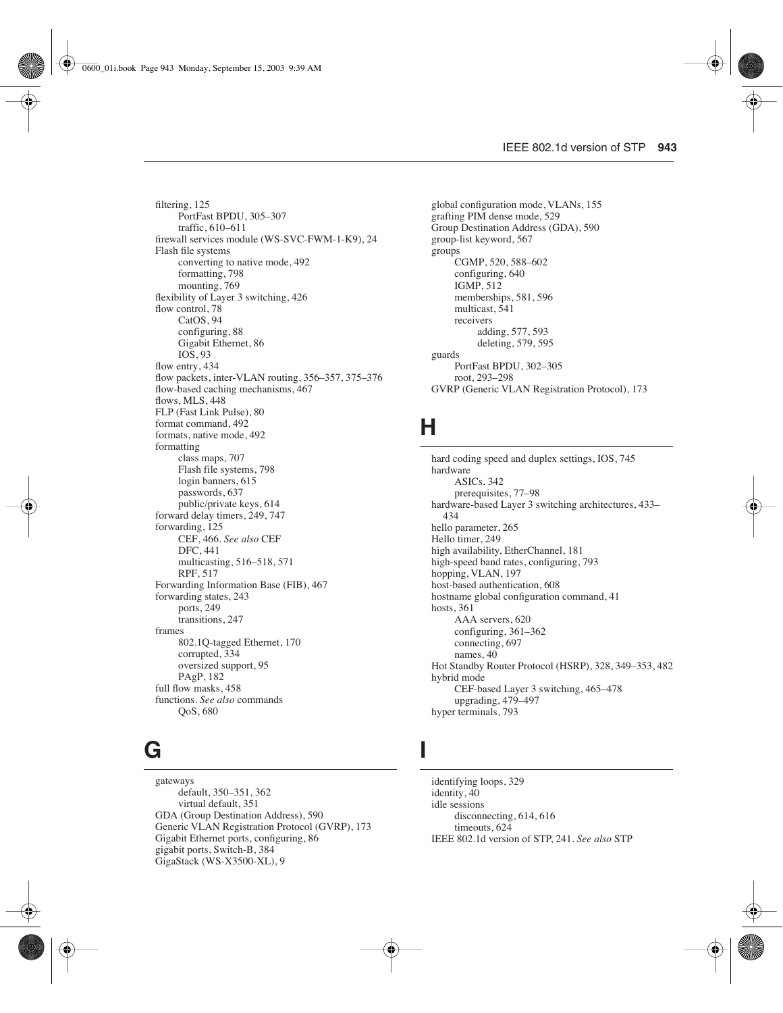filtering, 125 PortFast BPDU, 305–307 traffic, 610–611 firewall services module (WS-SVC-FWM-1-K9), 24 Flash file systems converting to native mode, 492 formatting, 798 mounting, 769 flexibility of Layer 3 switching, 426 flow control, 78 CatOS, 94 configuring, 88 Gigabit Ethernet, 86 IOS, 93 flow entry, 434 flow packets, inter-VLAN routing, 356–357, 375–376 flow-based caching mechanisms, 467 flows, MLS, 448 FLP (Fast Link Pulse), 80 format command, 492 formats, native mode, 492 formatting class maps, 707 Flash file systems, 798 login banners, 615 passwords, 637 public/private keys, 614 forward delay timers, 249, 747 forwarding, 125 CEF, 466. *See also* CEF DFC, 441 multicasting, 516–518, 571 RPF, 517 Forwarding Information Base (FIB), 467 forwarding states, 243 ports, 249 transitions, 247 frames 802.1Q-tagged Ethernet, 170 corrupted, 334 oversized support, 95 PAgP, 182 full flow masks, 458 functions. *See also* commands QoS, 680

### **G**

gateways default, 350–351, 362 virtual default, 351 GDA (Group Destination Address), 590 Generic VLAN Registration Protocol (GVRP), 173 Gigabit Ethernet ports, configuring, 86 gigabit ports, Switch-B, 384 GigaStack (WS-X3500-XL), 9

global configuration mode, VLANs, 155 grafting PIM dense mode, 529 Group Destination Address (GDA), 590 group-list keyword, 567 groups CGMP, 520, 588–602 configuring, 640 IGMP, 512 memberships, 581, 596 multicast, 541 receivers adding, 577, 593 deleting, 579, 595 guards PortFast BPDU, 302–305 root, 293–298 GVRP (Generic VLAN Registration Protocol), 173

#### **H**

hard coding speed and duplex settings, IOS, 745 hardware ASICs, 342 prerequisites, 77–98 hardware-based Layer 3 switching architectures, 433– 434 hello parameter, 265 Hello timer, 249 high availability, EtherChannel, 181 high-speed band rates, configuring, 793 hopping, VLAN, 197 host-based authentication, 608 hostname global configuration command, 41 hosts, 361 AAA servers, 620 configuring, 361–362 connecting, 697 names, 40 Hot Standby Router Protocol (HSRP), 328, 349–353, 482 hybrid mode CEF-based Layer 3 switching, 465–478 upgrading, 479–497 hyper terminals, 793

### **I**

identifying loops, 329 identity, 40 idle sessions disconnecting, 614, 616 timeouts, 624 IEEE 802.1d version of STP, 241. *See also* STP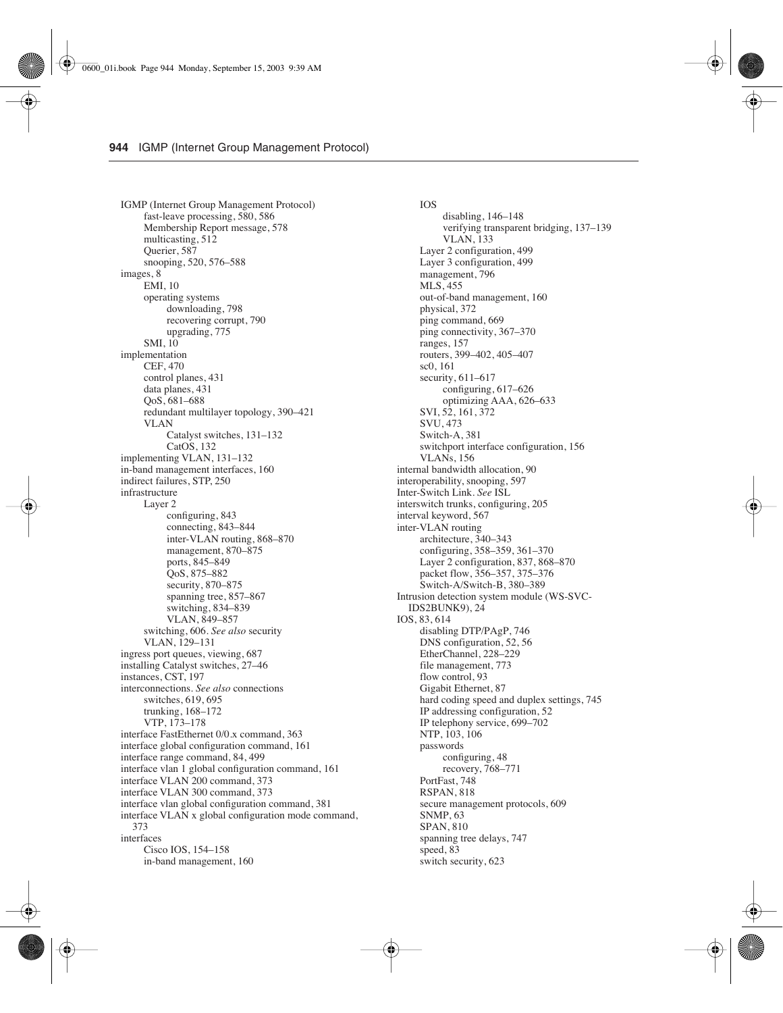IGMP (Internet Group Management Protocol) fast-leave processing, 580, 586 Membership Report message, 578 multicasting, 512 Querier, 587 snooping, 520, 576–588 images, 8 EMI, 10 operating systems downloading, 798 recovering corrupt, 790 upgrading, 775 SMI, 10 implementation CEF, 470 control planes, 431 data planes, 431 QoS, 681–688 redundant multilayer topology, 390–421 VLAN Catalyst switches, 131–132 CatOS, 132 implementing VLAN, 131–132 in-band management interfaces, 160 indirect failures, STP, 250 infrastructure Layer 2 configuring, 843 connecting, 843–844 inter-VLAN routing, 868–870 management, 870–875 ports, 845–849 QoS, 875–882 security, 870–875 spanning tree, 857–867 switching, 834–839 VLAN, 849–857 switching, 606. *See also* security VLAN, 129–131 ingress port queues, viewing, 687 installing Catalyst switches, 27–46 instances, CST, 197 interconnections. *See also* connections switches, 619, 695 trunking, 168–172 VTP, 173–178 interface FastEthernet 0/0.x command, 363 interface global configuration command, 161 interface range command, 84, 499 interface vlan 1 global configuration command, 161 interface VLAN 200 command, 373 interface VLAN 300 command, 373 interface vlan global configuration command, 381 interface VLAN x global configuration mode command, 373 interfaces Cisco IOS, 154–158 in-band management, 160

IOS disabling, 146–148 verifying transparent bridging, 137–139 VLAN, 133 Layer 2 configuration, 499 Layer 3 configuration, 499 management, 796 MLS, 455 out-of-band management, 160 physical, 372 ping command, 669 ping connectivity, 367–370 ranges, 157 routers, 399–402, 405–407 sc0, 161 security, 611–617 configuring, 617–626 optimizing AAA, 626–633 SVI, 52, 161, 372 SVU, 473 Switch-A, 381 switchport interface configuration, 156 VLANs, 156 internal bandwidth allocation, 90 interoperability, snooping, 597 Inter-Switch Link. *See* ISL interswitch trunks, configuring, 205 interval keyword, 567 inter-VLAN routing architecture, 340–343 configuring, 358–359, 361–370 Layer 2 configuration, 837, 868–870 packet flow, 356–357, 375–376 Switch-A/Switch-B, 380–389 Intrusion detection system module (WS-SVC-IDS2BUNK9), 24 IOS, 83, 614 disabling DTP/PAgP, 746 DNS configuration, 52, 56 EtherChannel, 228–229 file management, 773 flow control, 93 Gigabit Ethernet, 87 hard coding speed and duplex settings, 745 IP addressing configuration, 52 IP telephony service, 699–702 NTP, 103, 106 passwords configuring, 48 recovery, 768–771 PortFast, 748 RSPAN, 818 secure management protocols, 609 SNMP, 63 SPAN, 810 spanning tree delays, 747 speed, 83 switch security, 623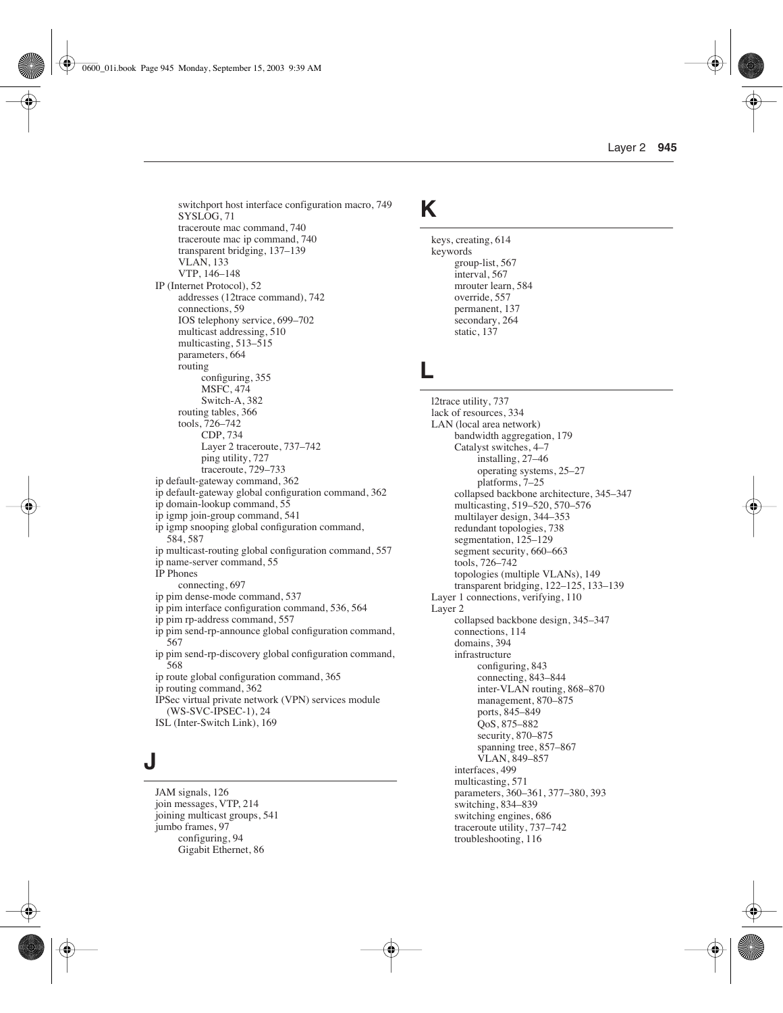switchport host interface configuration macro, 749 SYSLOG, 71 traceroute mac command, 740 traceroute mac ip command, 740 transparent bridging, 137–139 VLAN, 133 VTP, 146–148 IP (Internet Protocol), 52 addresses (12trace command), 742 connections, 59 IOS telephony service, 699–702 multicast addressing, 510 multicasting, 513–515 parameters, 664 routing configuring, 355 MSFC, 474 Switch-A, 382 routing tables, 366 tools, 726–742 CDP, 734 Layer 2 traceroute, 737–742 ping utility, 727 traceroute, 729–733 ip default-gateway command, 362 ip default-gateway global configuration command, 362 ip domain-lookup command, 55 ip igmp join-group command, 541 ip igmp snooping global configuration command, 584, 587 ip multicast-routing global configuration command, 557 ip name-server command, 55 IP Phones connecting, 697 ip pim dense-mode command, 537 ip pim interface configuration command, 536, 564 ip pim rp-address command, 557 ip pim send-rp-announce global configuration command, 567 ip pim send-rp-discovery global configuration command, 568 ip route global configuration command, 365 ip routing command, 362 IPSec virtual private network (VPN) services module (WS-SVC-IPSEC-1), 24 ISL (Inter-Switch Link), 169

# **J**

JAM signals, 126 join messages, VTP, 214 joining multicast groups, 541 jumbo frames, 97 configuring, 94 Gigabit Ethernet, 86

### **K**

keys, creating, 614 keywords group-list, 567 interval, 567 mrouter learn, 584 override, 557 permanent, 137 secondary, 264 static, 137

### **L**

l2trace utility, 737 lack of resources, 334 LAN (local area network) bandwidth aggregation, 179 Catalyst switches, 4–7 installing, 27–46 operating systems, 25–27 platforms, 7–25 collapsed backbone architecture, 345–347 multicasting, 519–520, 570–576 multilayer design, 344–353 redundant topologies, 738 segmentation, 125–129 segment security, 660–663 tools, 726–742 topologies (multiple VLANs), 149 transparent bridging, 122–125, 133–139 Layer 1 connections, verifying, 110 Layer 2 collapsed backbone design, 345–347 connections, 114 domains, 394 infrastructure configuring, 843 connecting, 843–844 inter-VLAN routing, 868–870 management, 870–875 ports, 845–849 QoS, 875–882 security, 870-875 spanning tree, 857–867 VLAN, 849–857 interfaces, 499 multicasting, 571 parameters, 360–361, 377–380, 393 switching, 834–839 switching engines, 686 traceroute utility, 737–742 troubleshooting, 116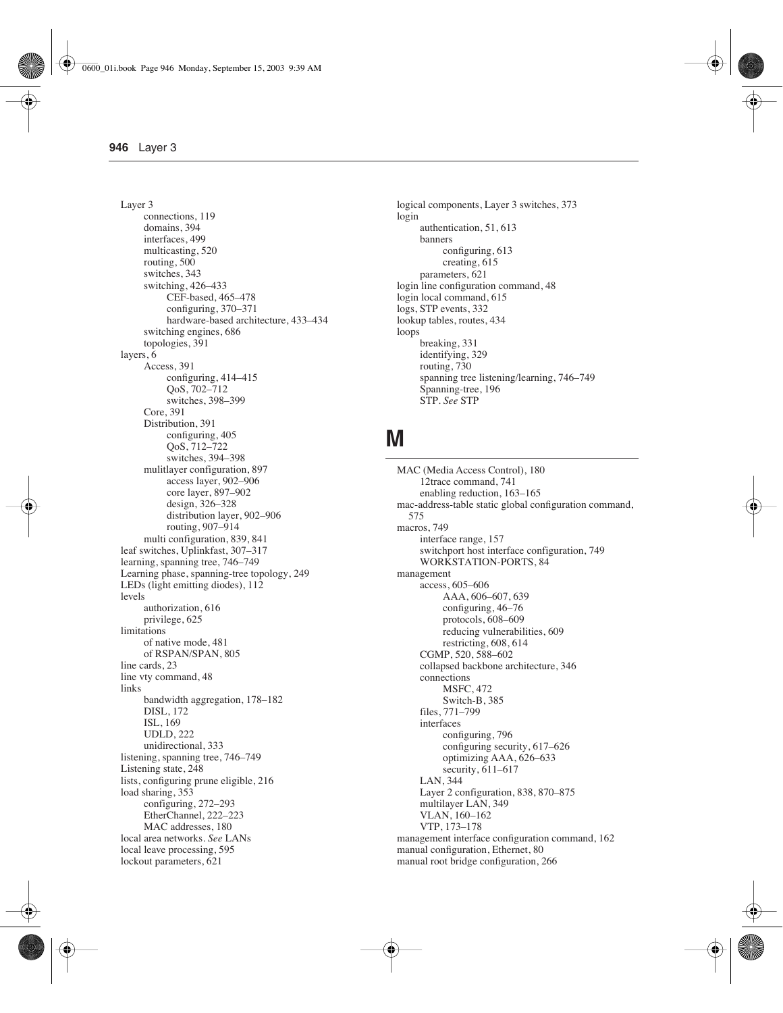Layer 3 connections, 119 domains, 394 interfaces, 499 multicasting, 520 routing, 500 switches, 343 switching, 426–433 CEF-based, 465–478 configuring, 370–371 hardware-based architecture, 433–434 switching engines, 686 topologies, 391 layers, 6 Access, 391 configuring, 414–415 QoS, 702–712 switches, 398–399 Core, 391 Distribution, 391 configuring, 405 QoS, 712–722 switches, 394–398 mulitlayer configuration, 897 access layer, 902–906 core layer, 897–902 design, 326–328 distribution layer, 902–906 routing, 907–914 multi configuration, 839, 841 leaf switches, Uplinkfast, 307–317 learning, spanning tree, 746–749 Learning phase, spanning-tree topology, 249 LEDs (light emitting diodes), 112 levels authorization, 616 privilege, 625 limitations of native mode, 481 of RSPAN/SPAN, 805 line cards, 23 line vty command, 48 links bandwidth aggregation, 178–182 DISL, 172 ISL, 169 UDLD, 222 unidirectional, 333 listening, spanning tree, 746–749 Listening state, 248 lists, configuring prune eligible, 216 load sharing, 353 configuring, 272–293 EtherChannel, 222–223 MAC addresses, 180 local area networks. *See* LANs local leave processing, 595 lockout parameters, 621

logical components, Layer 3 switches, 373 login authentication, 51, 613 banners configuring, 613 creating, 615 parameters, 621 login line configuration command, 48 login local command, 615 logs, STP events, 332 lookup tables, routes, 434 loops breaking, 331 identifying, 329 routing, 730 spanning tree listening/learning, 746–749 Spanning-tree, 196 STP. *See* STP

#### **M**

MAC (Media Access Control), 180 12trace command, 741 enabling reduction, 163–165 mac-address-table static global configuration command, 575 macros, 749 interface range, 157 switchport host interface configuration, 749 WORKSTATION-PORTS, 84 management access, 605–606 AAA, 606–607, 639 configuring, 46–76 protocols, 608–609 reducing vulnerabilities, 609 restricting, 608, 614 CGMP, 520, 588–602 collapsed backbone architecture, 346 connections MSFC, 472 Switch-B, 385 files, 771–799 interfaces configuring, 796 configuring security, 617–626 optimizing AAA, 626–633 security, 611–617 LAN, 344 Layer 2 configuration, 838, 870–875 multilayer LAN, 349 VLAN, 160–162 VTP, 173–178 management interface configuration command, 162 manual configuration, Ethernet, 80 manual root bridge configuration, 266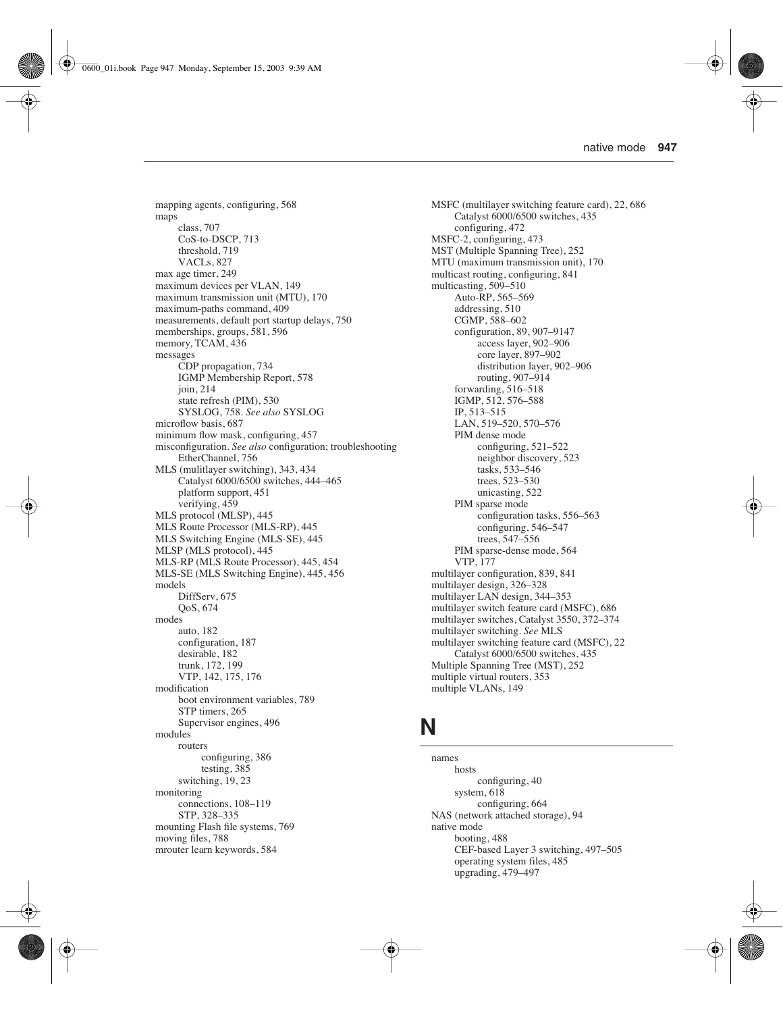mapping agents, configuring, 568 maps class, 707 CoS-to-DSCP, 713 threshold, 719 VACLs, 827 max age timer, 249 maximum devices per VLAN, 149 maximum transmission unit (MTU), 170 maximum-paths command, 409 measurements, default port startup delays, 750 memberships, groups, 581, 596 memory, TCAM,  $4\overline{3}6$ messages CDP propagation, 734 IGMP Membership Report, 578 join, 214 state refresh (PIM), 530 SYSLOG, 758. *See also* SYSLOG microflow basis, 687 minimum flow mask, configuring, 457 misconfiguration. *See also* configuration; troubleshooting EtherChannel, 756 MLS (mulitlayer switching), 343, 434 Catalyst 6000/6500 switches, 444–465 platform support, 451 verifying, 459 MLS protocol (MLSP), 445 MLS Route Processor (MLS-RP), 445 MLS Switching Engine (MLS-SE), 445 MLSP (MLS protocol), 445 MLS-RP (MLS Route Processor), 445, 454 MLS-SE (MLS Switching Engine), 445, 456 models DiffServ, 675 QoS, 674 modes auto, 182 configuration, 187 desirable, 182 trunk, 172, 199 VTP, 142, 175, 176 modification boot environment variables, 789 STP timers, 265 Supervisor engines, 496 modules routers configuring, 386 testing, 385 switching, 19, 23 monitoring connections, 108–119 STP, 328–335 mounting Flash file systems, 769 moving files, 788 mrouter learn keywords, 584

MSFC (multilayer switching feature card), 22, 686 Catalyst 6000/6500 switches, 435 configuring, 472 MSFC-2, configuring, 473 MST (Multiple Spanning Tree), 252 MTU (maximum transmission unit), 170 multicast routing, configuring, 841 multicasting, 509–510 Auto-RP, 565–569 addressing, 510 CGMP, 588–602 configuration, 89, 907–9147 access layer, 902–906 core layer, 897–902 distribution layer, 902–906 routing, 907–914 forwarding, 516–518 IGMP, 512, 576–588 IP, 513–515 LAN, 519–520, 570–576 PIM dense mode configuring, 521–522 neighbor discovery, 523 tasks, 533–546 trees, 523–530 unicasting, 522 PIM sparse mode configuration tasks, 556–563 configuring, 546–547 trees, 547–556 PIM sparse-dense mode, 564 VTP, 177 multilayer configuration, 839, 841 multilayer design, 326–328 multilayer LAN design, 344–353 multilayer switch feature card (MSFC), 686 multilayer switches, Catalyst 3550, 372–374 multilayer switching. *See* MLS multilayer switching feature card (MSFC), 22 Catalyst 6000/6500 switches, 435 Multiple Spanning Tree (MST), 252 multiple virtual routers, 353 multiple VLANs, 149

### **N**

names hosts configuring, 40 system, 618 configuring, 664 NAS (network attached storage), 94 native mode booting, 488 CEF-based Layer 3 switching, 497–505 operating system files, 485 upgrading, 479–497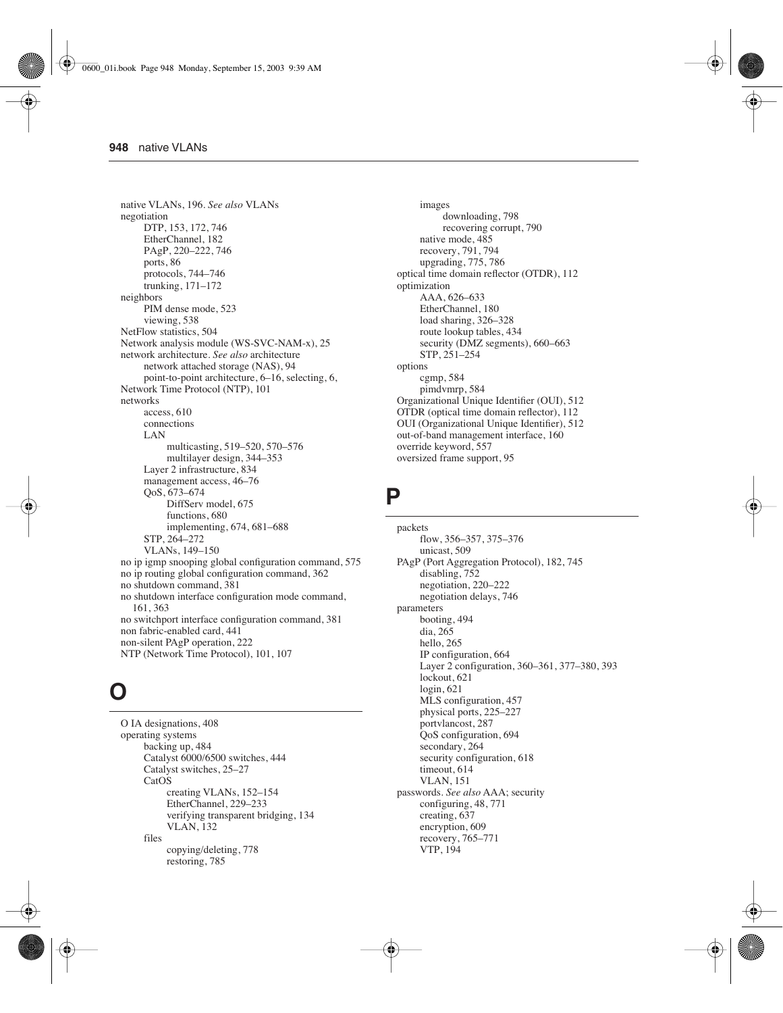native VLANs, 196. *See also* VLANs negotiation DTP, 153, 172, 746 EtherChannel, 182 PAgP, 220–222, 746 ports, 86 protocols, 744–746 trunking, 171–172 neighbors PIM dense mode, 523 viewing, 538 NetFlow statistics, 504 Network analysis module (WS-SVC-NAM-x), 25 network architecture. *See also* architecture network attached storage (NAS), 94 point-to-point architecture, 6–16, selecting, 6, Network Time Protocol (NTP), 101 networks access, 610 connections LAN multicasting, 519–520, 570–576 multilayer design, 344–353 Layer 2 infrastructure, 834 management access, 46–76 QoS, 673–674 DiffServ model, 675 functions, 680 implementing, 674, 681–688 STP, 264–272 VLANs, 149–150 no ip igmp snooping global configuration command, 575 no ip routing global configuration command, 362 no shutdown command, 381 no shutdown interface configuration mode command, 161, 363 no switchport interface configuration command, 381 non fabric-enabled card, 441 non-silent PAgP operation, 222 NTP (Network Time Protocol), 101, 107

# **O**

```
O IA designations, 408
operating systems
     backing up, 484
     Catalyst 6000/6500 switches, 444
     Catalyst switches, 25–27
     CatOS
          creating VLANs, 152–154
          EtherChannel, 229–233
          verifying transparent bridging, 134
          VLAN, 132
     files
          copying/deleting, 778
          restoring, 785
```
images downloading, 798 recovering corrupt, 790 native mode, 485 recovery, 791, 794 upgrading, 775, 786 optical time domain reflector (OTDR), 112 optimization AAA, 626–633 EtherChannel, 180 load sharing, 326–328 route lookup tables, 434 security (DMZ segments), 660-663 STP, 251–254 options cgmp, 584 pimdvmrp, 584 Organizational Unique Identifier (OUI), 512 OTDR (optical time domain reflector), 112 OUI (Organizational Unique Identifier), 512 out-of-band management interface, 160 override keyword, 557 oversized frame support, 95

#### **P**

packets flow, 356–357, 375–376 unicast, 509 PAgP (Port Aggregation Protocol), 182, 745 disabling, 752 negotiation, 220–222 negotiation delays, 746 parameters booting, 494 dia, 265 hello, 265 IP configuration, 664 Layer 2 configuration, 360–361, 377–380, 393 lockout, 621 login, 621 MLS configuration, 457 physical ports, 225–227 portvlancost, 287 QoS configuration, 694 secondary, 264 security configuration, 618 timeout, 614 VLAN, 151 passwords. *See also* AAA; security configuring, 48, 771 creating, 637 encryption, 609 recovery, 765–771 VTP, 194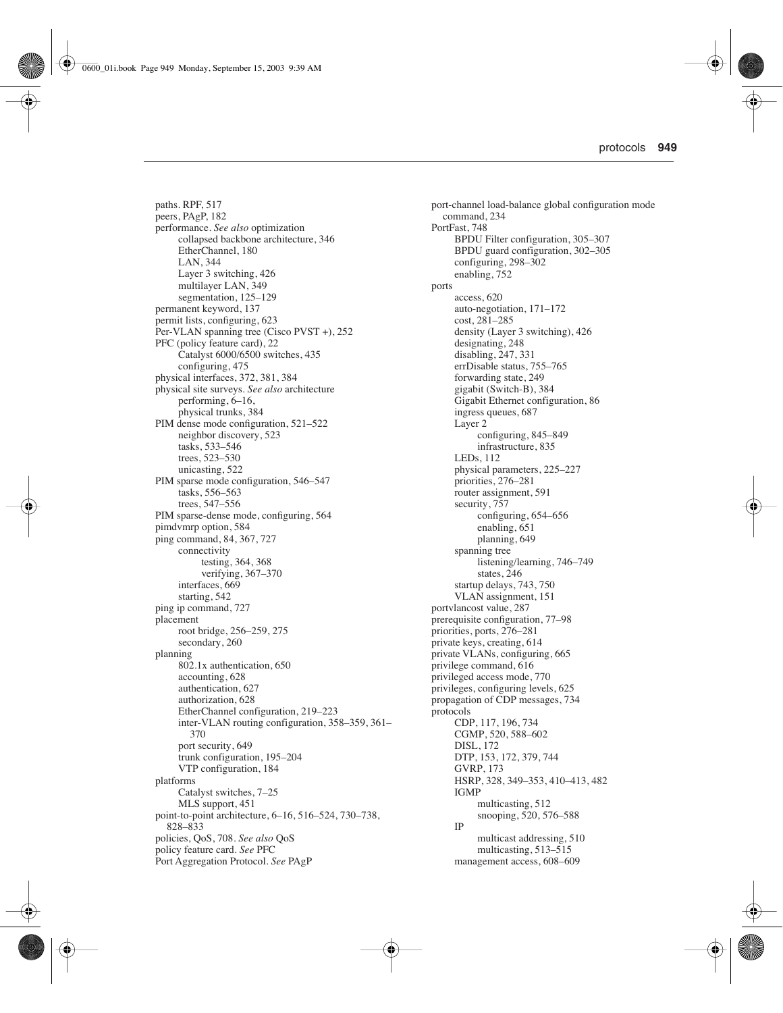paths. RPF, 517 peers, PAgP, 182 performance. *See also* optimization collapsed backbone architecture, 346 EtherChannel, 180 LAN, 344 Layer 3 switching, 426 multilayer LAN, 349 segmentation, 125–129 permanent keyword, 137 permit lists, configuring, 623 Per-VLAN spanning tree (Cisco PVST +), 252 PFC (policy feature card), 22 Catalyst 6000/6500 switches, 435 configuring, 475 physical interfaces, 372, 381, 384 physical site surveys. *See also* architecture performing, 6–16, physical trunks, 384 PIM dense mode configuration, 521–522 neighbor discovery, 523 tasks, 533–546 trees, 523–530 unicasting, 522 PIM sparse mode configuration, 546–547 tasks, 556–563 trees, 547–556 PIM sparse-dense mode, configuring, 564 pimdvmrp option, 584 ping command, 84, 367, 727 connectivity testing, 364, 368 verifying, 367–370 interfaces, 669 starting, 542 ping ip command, 727 placement root bridge, 256–259, 275 secondary, 260 planning 802.1x authentication, 650 accounting, 628 authentication, 627 authorization, 628 EtherChannel configuration, 219–223 inter-VLAN routing configuration, 358–359, 361– 370 port security, 649 trunk configuration, 195–204 VTP configuration, 184 platforms Catalyst switches, 7–25 MLS support, 451 point-to-point architecture, 6–16, 516–524, 730–738, 828–833 policies, QoS, 708. *See also* QoS policy feature card. *See* PFC Port Aggregation Protocol. *See* PAgP

port-channel load-balance global configuration mode command, 234 PortFast, 748 BPDU Filter configuration, 305–307 BPDU guard configuration, 302–305 configuring, 298–302 enabling, 752 ports access, 620 auto-negotiation, 171–172 cost, 281–285 density (Layer 3 switching), 426 designating, 248 disabling, 247, 331 errDisable status, 755–765 forwarding state, 249 gigabit (Switch-B), 384 Gigabit Ethernet configuration, 86 ingress queues, 687 Layer 2 configuring, 845–849 infrastructure, 835 LEDs, 112 physical parameters, 225–227 priorities, 276–281 router assignment, 591 security, 757 configuring, 654–656 enabling, 651 planning, 649 spanning tree listening/learning, 746–749 states, 246 startup delays, 743, 750 VLAN assignment, 151 portvlancost value, 287 prerequisite configuration, 77–98 priorities, ports, 276–281 private keys, creating, 614 private VLANs, configuring, 665 privilege command, 616 privileged access mode, 770 privileges, configuring levels, 625 propagation of CDP messages, 734 protocols CDP, 117, 196, 734 CGMP, 520, 588–602 DISL, 172 DTP, 153, 172, 379, 744 GVRP, 173 HSRP, 328, 349–353, 410–413, 482 IGMP multicasting, 512 snooping, 520, 576–588 IP multicast addressing, 510 multicasting, 513–515 management access, 608–609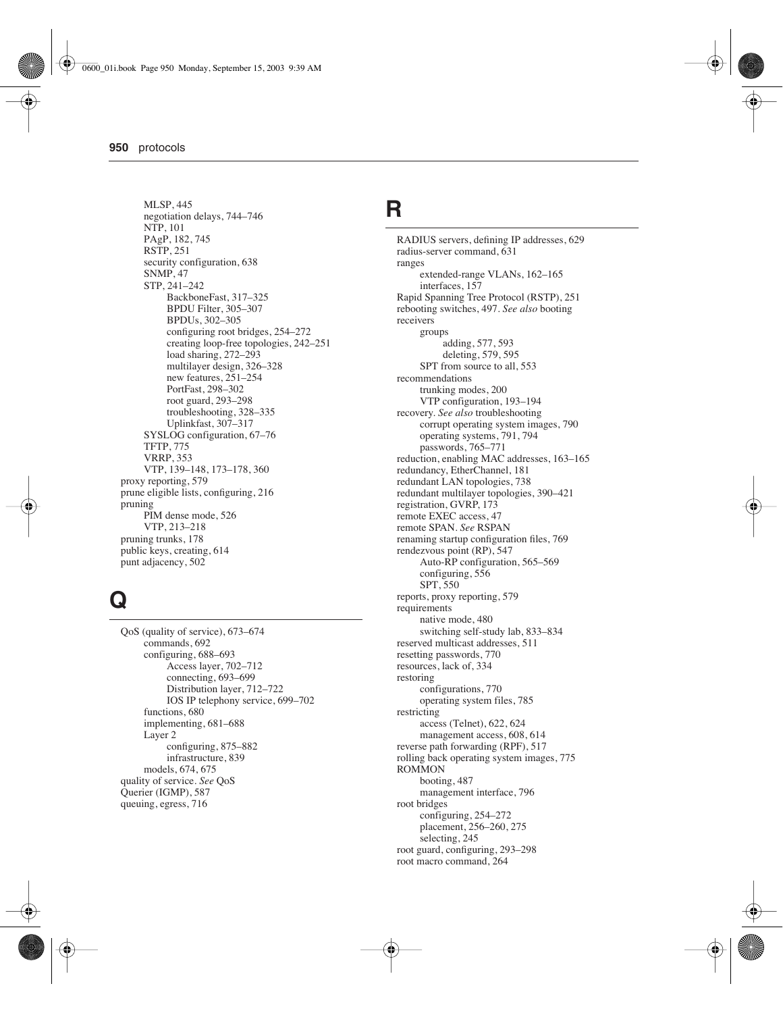MLSP, 445 negotiation delays, 744–746 NTP, 101 PAgP, 182, 745 RSTP, 251 security configuration, 638 SNMP, 47 STP, 241–242 BackboneFast, 317–325 BPDU Filter, 305–307 BPDUs, 302–305 configuring root bridges, 254–272 creating loop-free topologies, 242–251 load sharing, 272–293 multilayer design, 326–328 new features, 251–254 PortFast, 298–302 root guard, 293–298 troubleshooting, 328–335 Uplinkfast, 307–317 SYSLOG configuration, 67–76 TFTP, 775 VRRP, 353 VTP, 139–148, 173–178, 360 proxy reporting, 579 prune eligible lists, configuring, 216 pruning PIM dense mode, 526 VTP, 213–218 pruning trunks, 178 public keys, creating, 614 punt adjacency, 502

# **Q**

QoS (quality of service), 673–674 commands, 692 configuring, 688–693 Access layer, 702–712 connecting, 693–699 Distribution layer, 712–722 IOS IP telephony service, 699–702 functions, 680 implementing, 681–688 Layer 2 configuring, 875–882 infrastructure, 839 models, 674, 675 quality of service. *See* QoS Querier (IGMP), 587 queuing, egress, 716

### **R**

RADIUS servers, defining IP addresses, 629 radius-server command, 631 ranges extended-range VLANs, 162–165 interfaces, 157 Rapid Spanning Tree Protocol (RSTP), 251 rebooting switches, 497. *See also* booting receivers groups adding, 577, 593 deleting, 579, 595 SPT from source to all, 553 recommendations trunking modes, 200 VTP configuration, 193–194 recovery. *See also* troubleshooting corrupt operating system images, 790 operating systems, 791, 794 passwords, 765–771 reduction, enabling MAC addresses, 163–165 redundancy, EtherChannel, 181 redundant LAN topologies, 738 redundant multilayer topologies, 390–421 registration, GVRP, 173 remote EXEC access, 47 remote SPAN. *See* RSPAN renaming startup configuration files, 769 rendezvous point (RP), 547 Auto-RP configuration, 565–569 configuring, 556 SPT, 550 reports, proxy reporting, 579 requirements native mode, 480 switching self-study lab, 833–834 reserved multicast addresses, 511 resetting passwords, 770 resources, lack of, 334 restoring configurations, 770 operating system files, 785 restricting access (Telnet), 622, 624 management access, 608, 614 reverse path forwarding (RPF), 517 rolling back operating system images, 775 ROMMON booting, 487 management interface, 796 root bridges configuring, 254–272 placement, 256–260, 275 selecting, 245 root guard, configuring, 293–298 root macro command, 264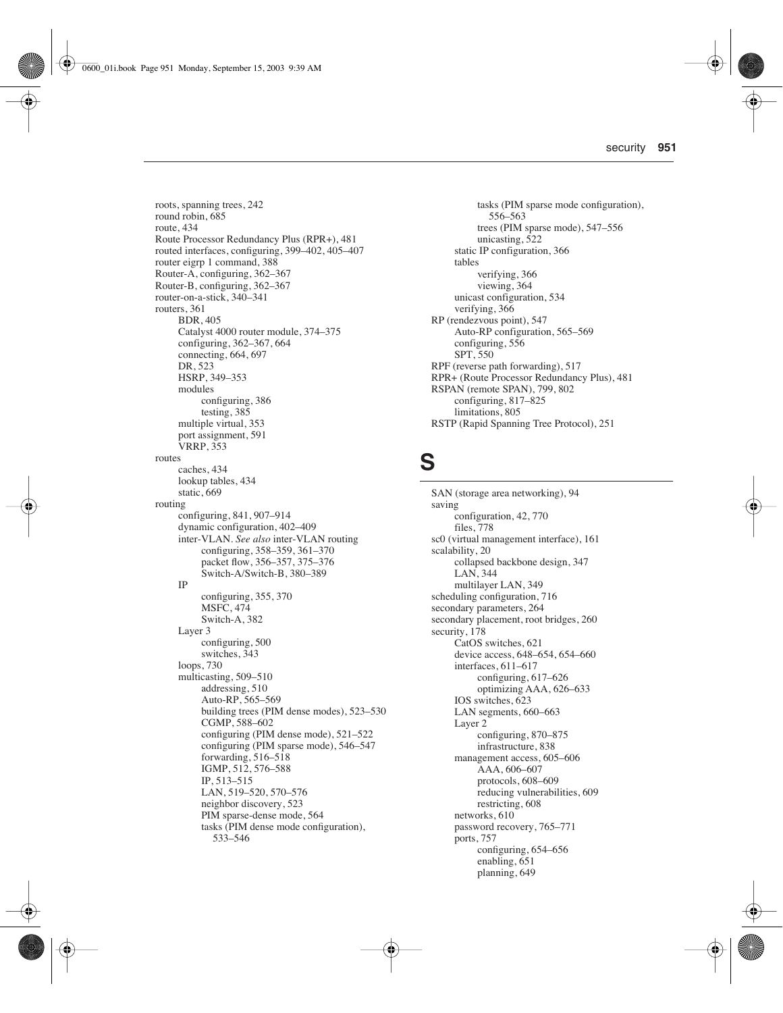roots, spanning trees, 242 round robin, 685 route, 434 Route Processor Redundancy Plus (RPR+), 481 routed interfaces, configuring, 399–402, 405–407 router eigrp 1 command, 388 Router-A, configuring, 362–367 Router-B, configuring, 362–367 router-on-a-stick, 340–341 routers, 361 BDR, 405 Catalyst 4000 router module, 374–375 configuring, 362–367, 664 connecting, 664, 697 DR, 523 HSRP, 349–353 modules configuring, 386 testing, 385 multiple virtual, 353 port assignment, 591 VRRP, 353 routes caches, 434 lookup tables, 434 static, 669 routing configuring, 841, 907–914 dynamic configuration, 402–409 inter-VLAN. *See also* inter-VLAN routing configuring, 358–359, 361–370 packet flow, 356–357, 375–376 Switch-A/Switch-B, 380–389 IP configuring, 355, 370 MSFC, 474 Switch-A, 382 Layer 3 configuring, 500 switches, 343 loops, 730 multicasting, 509–510 addressing, 510 Auto-RP, 565–569 building trees (PIM dense modes), 523–530 CGMP, 588–602 configuring (PIM dense mode), 521–522 configuring (PIM sparse mode), 546–547 forwarding, 516–518 IGMP, 512, 576–588 IP, 513–515 LAN, 519–520, 570–576 neighbor discovery, 523 PIM sparse-dense mode, 564 tasks (PIM dense mode configuration), 533–546

tasks (PIM sparse mode configuration), 556–563 trees (PIM sparse mode), 547–556 unicasting, 522 static IP configuration, 366 tables verifying, 366 viewing, 364 unicast configuration, 534 verifying, 366 RP (rendezvous point), 547 Auto-RP configuration, 565–569 configuring, 556 SPT, 550 RPF (reverse path forwarding), 517 RPR+ (Route Processor Redundancy Plus), 481 RSPAN (remote SPAN), 799, 802 configuring, 817–825 limitations, 805 RSTP (Rapid Spanning Tree Protocol), 251

### **S**

SAN (storage area networking), 94 saving configuration, 42, 770 files, 778 sc0 (virtual management interface), 161 scalability, 20 collapsed backbone design, 347 LAN, 344 multilayer LAN, 349 scheduling configuration, 716 secondary parameters, 264 secondary placement, root bridges, 260 security, 178 CatOS switches, 621 device access, 648–654, 654–660 interfaces, 611–617 configuring, 617–626 optimizing AAA, 626–633 IOS switches, 623 LAN segments, 660–663 Layer 2 configuring, 870–875 infrastructure, 838 management access, 605–606 AAA, 606–607 protocols, 608–609 reducing vulnerabilities, 609 restricting, 608 networks, 610 password recovery, 765–771 ports, 757 configuring, 654–656 enabling, 651 planning, 649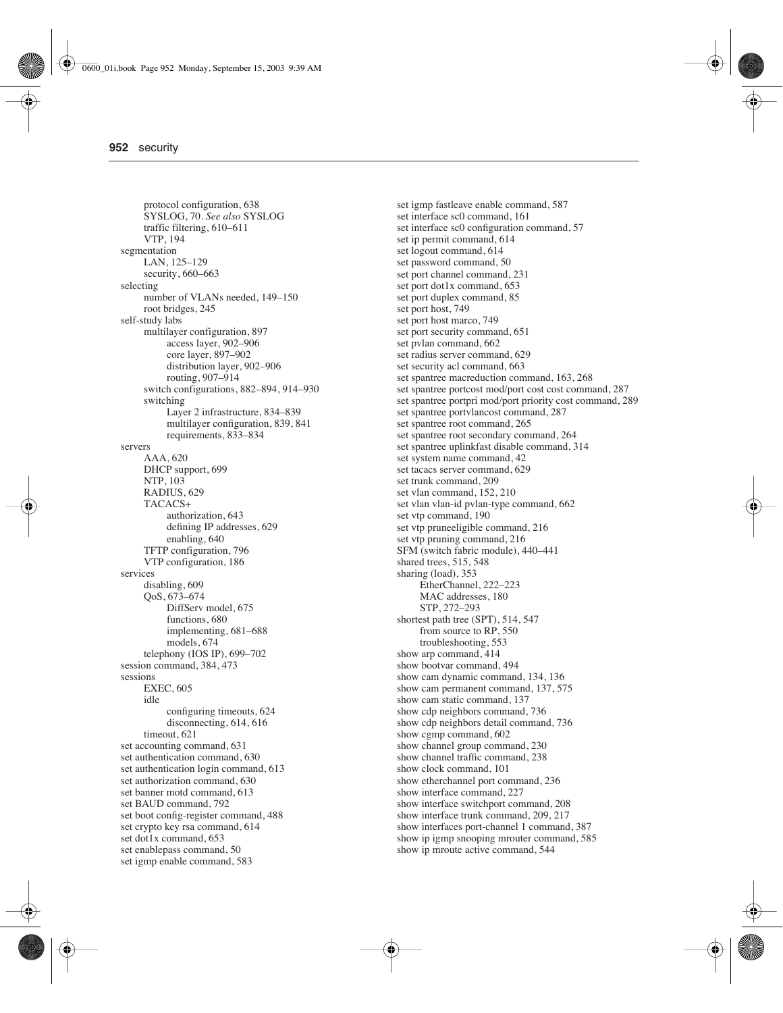protocol configuration, 638 SYSLOG, 70. *See also* SYSLOG traffic filtering, 610–611 VTP, 194 segmentation LAN, 125–129 security, 660–663 selecting number of VLANs needed, 149–150 root bridges, 245 self-study labs multilayer configuration, 897 access layer, 902–906 core layer, 897–902 distribution layer, 902–906 routing, 907-914 switch configurations, 882–894, 914–930 switching Layer 2 infrastructure, 834–839 multilayer configuration, 839, 841 requirements, 833–834 servers AAA, 620 DHCP support, 699 NTP, 103 RADIUS, 629 TACACS+ authorization, 643 defining IP addresses, 629 enabling, 640 TFTP configuration, 796 VTP configuration, 186 services disabling, 609 QoS, 673–674 DiffServ model, 675 functions, 680 implementing, 681–688 models, 674 telephony (IOS IP), 699–702 session command, 384, 473 sessions EXEC, 605 idle configuring timeouts, 624 disconnecting, 614, 616 timeout, 621 set accounting command, 631 set authentication command, 630 set authentication login command, 613 set authorization command, 630 set banner motd command, 613 set BAUD command, 792 set boot config-register command, 488 set crypto key rsa command, 614 set dot1x command, 653 set enablepass command, 50 set igmp enable command, 583

set igmp fastleave enable command, 587 set interface sc0 command, 161 set interface sc0 configuration command, 57 set ip permit command, 614 set logout command, 614 set password command, 50 set port channel command, 231 set port dot1x command, 653 set port duplex command, 85 set port host, 749 set port host marco, 749 set port security command, 651 set pvlan command, 662 set radius server command, 629 set security acl command, 663 set spantree macreduction command, 163, 268 set spantree portcost mod/port cost cost command, 287 set spantree portpri mod/port priority cost command, 289 set spantree portvlancost command, 287 set spantree root command, 265 set spantree root secondary command, 264 set spantree uplinkfast disable command, 314 set system name command, 42 set tacacs server command, 629 set trunk command, 209 set vlan command, 152, 210 set vlan vlan-id pvlan-type command, 662 set vtp command, 190 set vtp pruneeligible command, 216 set vtp pruning command, 216 SFM (switch fabric module), 440–441 shared trees, 515, 548 sharing (load), 353 EtherChannel, 222–223 MAC addresses, 180 STP, 272–293 shortest path tree (SPT), 514, 547 from source to RP, 550 troubleshooting, 553 show arp command, 414 show bootvar command, 494 show cam dynamic command, 134, 136 show cam permanent command, 137, 575 show cam static command, 137 show cdp neighbors command, 736 show cdp neighbors detail command, 736 show cgmp command, 602 show channel group command, 230 show channel traffic command, 238 show clock command, 101 show etherchannel port command, 236 show interface command, 227 show interface switchport command, 208 show interface trunk command, 209, 217 show interfaces port-channel 1 command, 387 show ip igmp snooping mrouter command, 585 show ip mroute active command, 544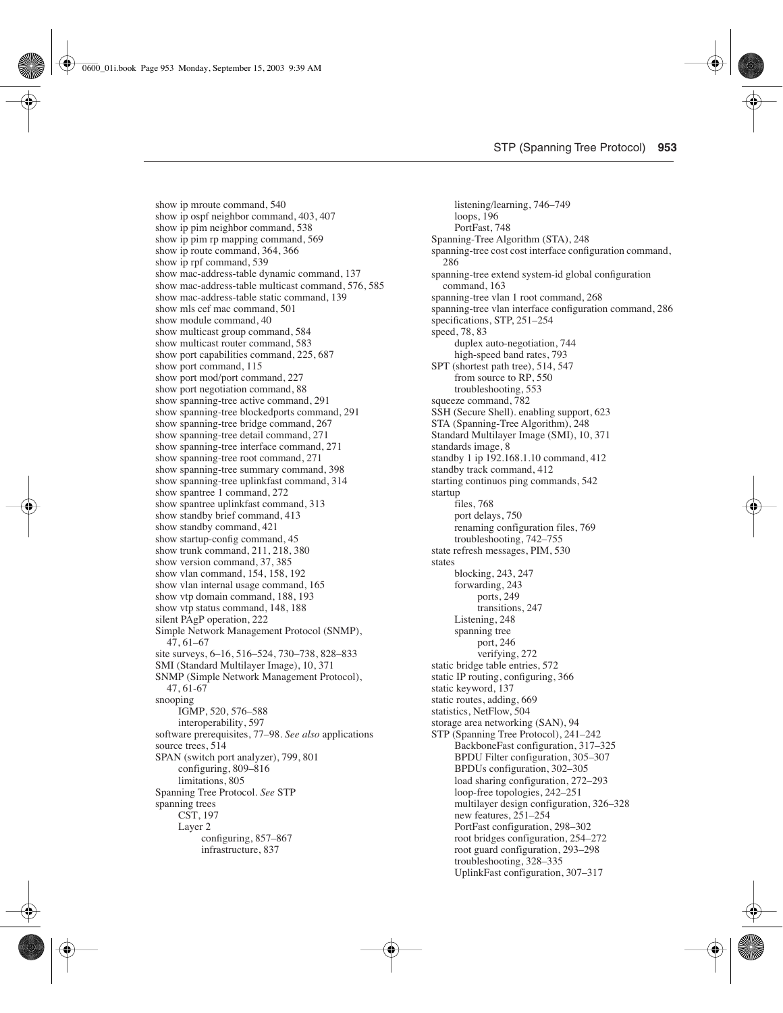show ip mroute command, 540 show ip ospf neighbor command, 403, 407 show ip pim neighbor command, 538 show ip pim rp mapping command, 569 show ip route command, 364, 366 show ip rpf command, 539 show mac-address-table dynamic command, 137 show mac-address-table multicast command, 576, 585 show mac-address-table static command, 139 show mls cef mac command, 501 show module command, 40 show multicast group command, 584 show multicast router command, 583 show port capabilities command, 225, 687 show port command, 115 show port mod/port command, 227 show port negotiation command, 88 show spanning-tree active command, 291 show spanning-tree blockedports command, 291 show spanning-tree bridge command, 267 show spanning-tree detail command, 271 show spanning-tree interface command, 271 show spanning-tree root command, 271 show spanning-tree summary command, 398 show spanning-tree uplinkfast command, 314 show spantree 1 command, 272 show spantree uplinkfast command, 313 show standby brief command, 413 show standby command, 421 show startup-config command, 45 show trunk command, 211, 218, 380 show version command, 37, 385 show vlan command, 154, 158, 192 show vlan internal usage command, 165 show vtp domain command, 188, 193 show vtp status command, 148, 188 silent PAgP operation, 222 Simple Network Management Protocol (SNMP), 47, 61–67 site surveys, 6–16, 516–524, 730–738, 828–833 SMI (Standard Multilayer Image), 10, 371 SNMP (Simple Network Management Protocol), 47, 61-67 snooping IGMP, 520, 576–588 interoperability, 597 software prerequisites, 77–98. *See also* applications source trees, 514 SPAN (switch port analyzer), 799, 801 configuring, 809–816 limitations, 805 Spanning Tree Protocol. *See* STP spanning trees CST, 197 Layer 2 configuring, 857–867 infrastructure, 837

listening/learning, 746–749 loops, 196 PortFast, 748 Spanning-Tree Algorithm (STA), 248 spanning-tree cost cost interface configuration command, 286 spanning-tree extend system-id global configuration command, 163 spanning-tree vlan 1 root command, 268 spanning-tree vlan interface configuration command, 286 specifications, STP, 251–254 speed, 78, 83 duplex auto-negotiation, 744 high-speed band rates, 793 SPT (shortest path tree), 514, 547 from source to RP, 550 troubleshooting, 553 squeeze command, 782 SSH (Secure Shell). enabling support, 623 STA (Spanning-Tree Algorithm), 248 Standard Multilayer Image (SMI), 10, 371 standards image, 8 standby 1 ip 192.168.1.10 command, 412 standby track command, 412 starting continuos ping commands, 542 startup files, 768 port delays, 750 renaming configuration files, 769 troubleshooting, 742–755 state refresh messages, PIM, 530 states blocking, 243, 247 forwarding, 243 ports, 249 transitions, 247 Listening, 248 spanning tree port, 246 verifying, 272 static bridge table entries, 572 static IP routing, configuring, 366 static keyword, 137 static routes, adding, 669 statistics, NetFlow, 504 storage area networking (SAN), 94 STP (Spanning Tree Protocol), 241–242 BackboneFast configuration, 317–325 BPDU Filter configuration, 305–307 BPDUs configuration, 302–305 load sharing configuration, 272–293 loop-free topologies, 242–251 multilayer design configuration, 326–328 new features, 251–254 PortFast configuration, 298–302 root bridges configuration, 254–272 root guard configuration, 293–298 troubleshooting, 328–335 UplinkFast configuration, 307–317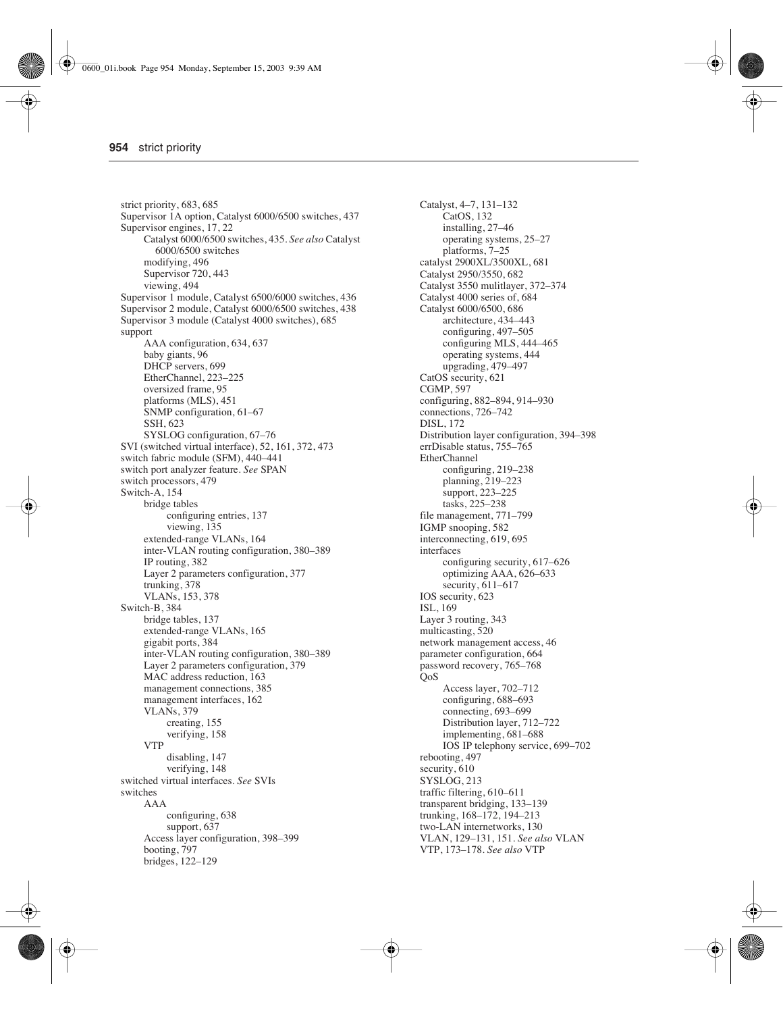strict priority, 683, 685 Supervisor 1A option, Catalyst 6000/6500 switches, 437 Supervisor engines, 17, 22 Catalyst 6000/6500 switches, 435. *See also* Catalyst 6000/6500 switches modifying, 496 Supervisor 720, 443 viewing, 494 Supervisor 1 module, Catalyst 6500/6000 switches, 436 Supervisor 2 module, Catalyst 6000/6500 switches, 438 Supervisor 3 module (Catalyst 4000 switches), 685 support AAA configuration, 634, 637 baby giants, 96 DHCP servers, 699 EtherChannel, 223–225 oversized frame, 95 platforms (MLS), 451 SNMP configuration, 61–67 SSH, 623 SYSLOG configuration, 67–76 SVI (switched virtual interface), 52, 161, 372, 473 switch fabric module (SFM), 440–441 switch port analyzer feature. *See* SPAN switch processors, 479 Switch-A, 154 bridge tables configuring entries, 137 viewing, 135 extended-range VLANs, 164 inter-VLAN routing configuration, 380–389 IP routing, 382 Layer 2 parameters configuration, 377 trunking, 378 VLANs, 153, 378 Switch-B, 384 bridge tables, 137 extended-range VLANs, 165 gigabit ports, 384 inter-VLAN routing configuration, 380–389 Layer 2 parameters configuration, 379 MAC address reduction, 163 management connections, 385 management interfaces, 162 VLANs, 379 creating, 155 verifying, 158 VTP disabling, 147 verifying, 148 switched virtual interfaces. *See* SVIs switches AAA configuring, 638 support, 637 Access layer configuration, 398–399 booting, 797 bridges, 122–129

Catalyst, 4–7, 131–132 CatOS, 132 installing, 27–46 operating systems, 25–27 platforms, 7–25 catalyst 2900XL/3500XL, 681 Catalyst 2950/3550, 682 Catalyst 3550 mulitlayer, 372–374 Catalyst 4000 series of, 684 Catalyst 6000/6500, 686 architecture, 434–443 configuring, 497–505 configuring MLS, 444–465 operating systems, 444 upgrading, 479–497 CatOS security, 621 CGMP, 597 configuring, 882–894, 914–930 connections, 726–742 DISL, 172 Distribution layer configuration, 394–398 errDisable status, 755–765 EtherChannel configuring, 219–238 planning, 219–223 support, 223–225 tasks, 225–238 file management, 771–799 IGMP snooping, 582 interconnecting, 619, 695 interfaces configuring security, 617–626 optimizing AAA, 626–633 security, 611–617 IOS security, 623 ISL, 169 Layer 3 routing, 343 multicasting, 520 network management access, 46 parameter configuration, 664 password recovery, 765–768 QoS Access layer, 702–712 configuring, 688–693 connecting, 693–699 Distribution layer, 712–722 implementing, 681–688 IOS IP telephony service, 699–702 rebooting, 497 security, 610 SYSLOG, 213 traffic filtering, 610–611 transparent bridging, 133–139 trunking, 168–172, 194–213 two-LAN internetworks, 130 VLAN, 129–131, 151. *See also* VLAN VTP, 173–178. *See also* VTP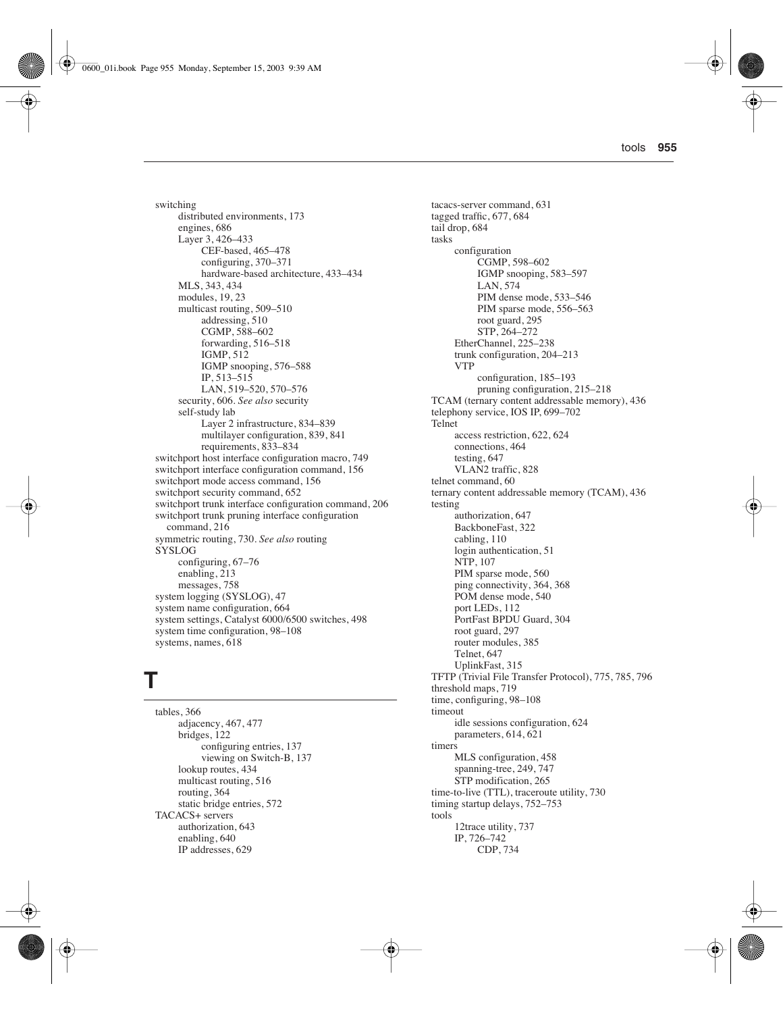switching distributed environments, 173 engines, 686 Layer 3, 426–433 CEF-based, 465–478 configuring, 370–371 hardware-based architecture, 433–434 MLS, 343, 434 modules, 19, 23 multicast routing, 509–510 addressing, 510 CGMP, 588–602 forwarding, 516–518 IGMP, 512 IGMP snooping, 576–588 IP, 513–515 LAN, 519–520, 570–576 security, 606. *See also* security self-study lab Layer 2 infrastructure, 834–839 multilayer configuration, 839, 841 requirements, 833–834 switchport host interface configuration macro, 749 switchport interface configuration command, 156 switchport mode access command, 156 switchport security command, 652 switchport trunk interface configuration command, 206 switchport trunk pruning interface configuration command, 216 symmetric routing, 730. *See also* routing **SYSLOG** configuring, 67–76 enabling, 213 messages, 758 system logging (SYSLOG), 47 system name configuration, 664 system settings, Catalyst 6000/6500 switches, 498 system time configuration, 98–108 systems, names, 618

# **T**

tables, 366 adjacency, 467, 477 bridges, 122 configuring entries, 137 viewing on Switch-B, 137 lookup routes, 434 multicast routing, 516 routing, 364 static bridge entries, 572 TACACS+ servers authorization, 643 enabling, 640 IP addresses, 629

tacacs-server command, 631 tagged traffic, 677, 684 tail drop, 684 tasks configuration CGMP, 598–602 IGMP snooping, 583–597 LAN, 574 PIM dense mode, 533–546 PIM sparse mode, 556–563 root guard, 295 STP, 264–272 EtherChannel, 225–238 trunk configuration, 204–213 VTP configuration, 185–193 pruning configuration, 215–218 TCAM (ternary content addressable memory), 436 telephony service, IOS IP, 699–702 Telnet access restriction, 622, 624 connections, 464 testing, 647 VLAN2 traffic, 828 telnet command, 60 ternary content addressable memory (TCAM), 436 testing authorization, 647 BackboneFast, 322 cabling, 110 login authentication, 51 NTP, 107 PIM sparse mode, 560 ping connectivity, 364, 368 POM dense mode, 540 port LEDs, 112 PortFast BPDU Guard, 304 root guard, 297 router modules, 385 Telnet, 647 UplinkFast, 315 TFTP (Trivial File Transfer Protocol), 775, 785, 796 threshold maps, 719 time, configuring, 98–108 timeout idle sessions configuration, 624 parameters, 614, 621 timers MLS configuration, 458 spanning-tree, 249, 747 STP modification, 265 time-to-live (TTL), traceroute utility, 730 timing startup delays, 752–753 tools 12trace utility, 737 IP, 726–742 CDP, 734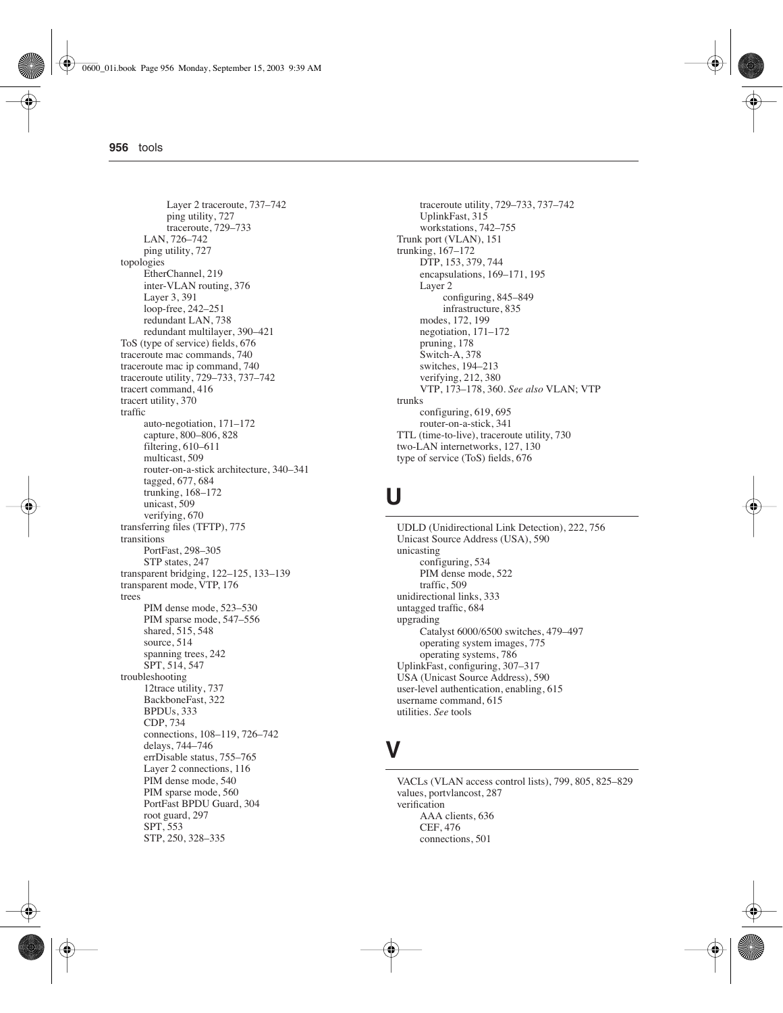Layer 2 traceroute, 737–742 ping utility, 727 traceroute, 729–733 LAN, 726–742 ping utility, 727 topologies EtherChannel, 219 inter-VLAN routing, 376 Layer 3, 391 loop-free, 242–251 redundant LAN, 738 redundant multilayer, 390–421 ToS (type of service) fields, 676 traceroute mac commands, 740 traceroute mac ip command, 740 traceroute utility, 729–733, 737–742 tracert command, 416 tracert utility, 370 traffic auto-negotiation, 171–172 capture, 800–806, 828 filtering, 610–611 multicast, 509 router-on-a-stick architecture, 340–341 tagged, 677, 684 trunking, 168–172 unicast, 509 verifying, 670 transferring files (TFTP), 775 transitions PortFast, 298–305 STP states, 247 transparent bridging, 122–125, 133–139 transparent mode, VTP, 176 trees PIM dense mode, 523–530 PIM sparse mode, 547–556 shared, 515, 548 source, 514 spanning trees, 242 SPT, 514, 547 troubleshooting 12trace utility, 737 BackboneFast, 322 BPDUs, 333 CDP, 734 connections, 108–119, 726–742 delays, 744–746 errDisable status, 755–765 Layer 2 connections, 116 PIM dense mode, 540 PIM sparse mode, 560 PortFast BPDU Guard, 304 root guard, 297 SPT, 553 STP, 250, 328–335

traceroute utility, 729–733, 737–742 UplinkFast, 315 workstations, 742–755 Trunk port (VLAN), 151 trunking, 167–172 DTP, 153, 379, 744 encapsulations, 169–171, 195 Layer 2 configuring, 845–849 infrastructure, 835 modes, 172, 199 negotiation, 171–172 pruning, 178 Switch-A, 378 switches, 194–213 verifying, 212, 380 VTP, 173–178, 360. *See also* VLAN; VTP trunks configuring, 619, 695 router-on-a-stick, 341 TTL (time-to-live), traceroute utility, 730 two-LAN internetworks, 127, 130 type of service (ToS) fields, 676

### **U**

UDLD (Unidirectional Link Detection), 222, 756 Unicast Source Address (USA), 590 unicasting configuring, 534 PIM dense mode, 522 traffic, 509 unidirectional links, 333 untagged traffic, 684 upgrading Catalyst 6000/6500 switches, 479–497 operating system images, 775 operating systems, 786 UplinkFast, configuring, 307–317 USA (Unicast Source Address), 590 user-level authentication, enabling, 615 username command, 615 utilities. *See* tools

# **V**

VACLs (VLAN access control lists), 799, 805, 825–829 values, portvlancost, 287 verification AAA clients, 636 CEF, 476 connections, 501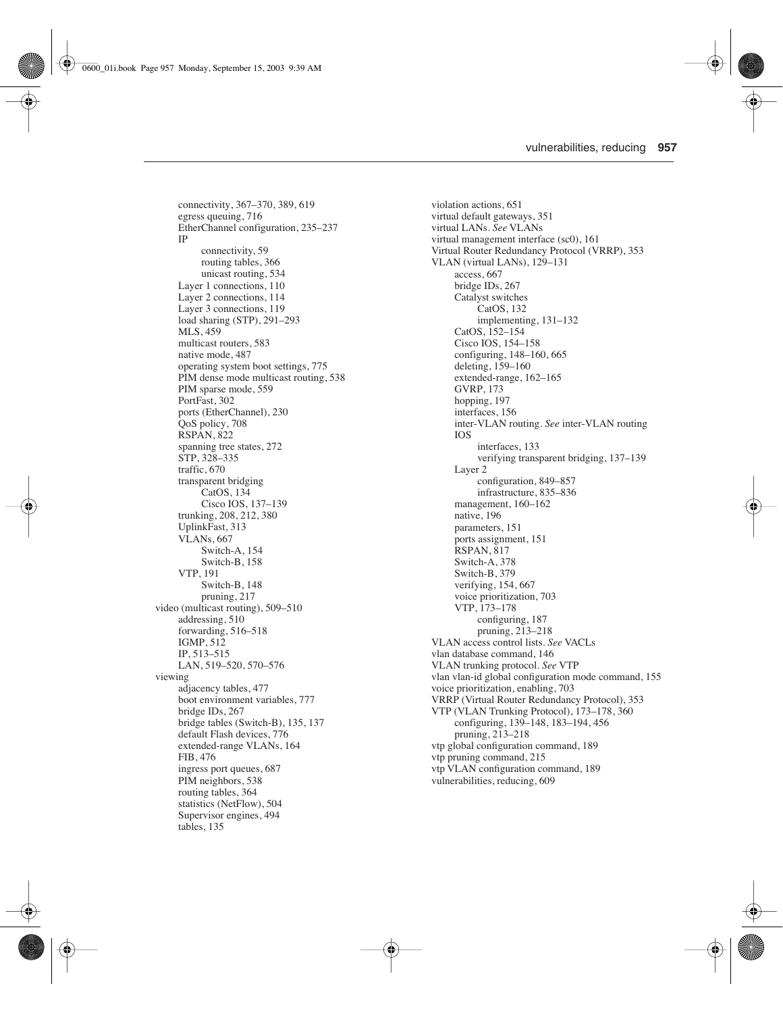connectivity, 367–370, 389, 619 egress queuing, 716 EtherChannel configuration, 235–237 IP connectivity, 59 routing tables, 366 unicast routing, 534 Layer 1 connections, 110 Layer 2 connections, 114 Layer 3 connections, 119 load sharing (STP), 291–293 MLS, 459 multicast routers, 583 native mode, 487 operating system boot settings, 775 PIM dense mode multicast routing, 538 PIM sparse mode, 559 PortFast, 302 ports (EtherChannel), 230 QoS policy, 708 RSPAN, 822 spanning tree states, 272 STP, 328–335 traffic, 670 transparent bridging CatOS, 134 Cisco IOS, 137–139 trunking, 208, 212, 380 UplinkFast, 313 VLANs, 667 Switch-A, 154 Switch-B, 158 VTP, 191 Switch-B, 148 pruning, 217 video (multicast routing), 509–510 addressing, 510 forwarding, 516–518 IGMP, 512 IP, 513–515 LAN, 519–520, 570–576 viewing adjacency tables, 477 boot environment variables, 777 bridge IDs, 267 bridge tables (Switch-B), 135, 137 default Flash devices, 776 extended-range VLANs, 164 FIB, 476 ingress port queues, 687 PIM neighbors, 538 routing tables, 364 statistics (NetFlow), 504 Supervisor engines, 494 tables, 135

violation actions, 651 virtual default gateways, 351 virtual LANs. *See* VLANs virtual management interface (sc0), 161 Virtual Router Redundancy Protocol (VRRP), 353 VLAN (virtual LANs), 129–131 access, 667 bridge IDs, 267 Catalyst switches CatOS, 132 implementing, 131–132 CatOS, 152–154 Cisco IOS, 154–158 configuring, 148–160, 665 deleting, 159–160 extended-range, 162–165 GVRP, 173 hopping, 197 interfaces, 156 inter-VLAN routing. *See* inter-VLAN routing IOS interfaces, 133 verifying transparent bridging, 137–139 Layer 2 configuration, 849–857 infrastructure, 835–836 management, 160–162 native, 196 parameters, 151 ports assignment, 151 RSPAN, 817 Switch-A, 378 Switch-B, 379 verifying, 154, 667 voice prioritization, 703 VTP, 173–178 configuring, 187 pruning, 213–218 VLAN access control lists. *See* VACLs vlan database command, 146 VLAN trunking protocol. *See* VTP vlan vlan-id global configuration mode command, 155 voice prioritization, enabling, 703 VRRP (Virtual Router Redundancy Protocol), 353 VTP (VLAN Trunking Protocol), 173–178, 360 configuring, 139–148, 183–194, 456 pruning, 213–218 vtp global configuration command, 189 vtp pruning command, 215 vtp VLAN configuration command, 189 vulnerabilities, reducing, 609